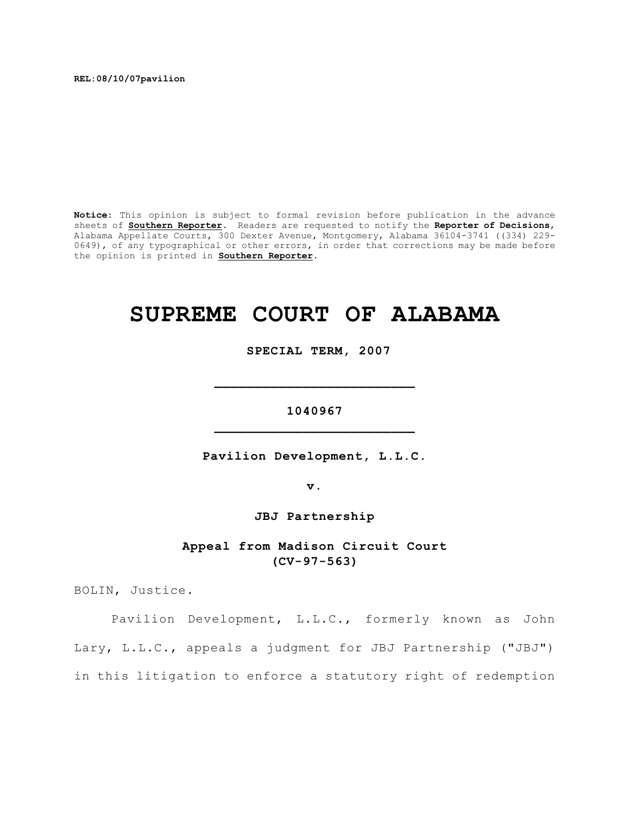**REL:08/10/07pavilion**

**Notice:** This opinion is subject to formal revision before publication in the advance sheets of **Southern Reporter**. Readers are requested to notify the **Reporter of Decisions**, Alabama Appellate Courts, 300 Dexter Avenue, Montgomery, Alabama 36104-3741 ((334) 229- 0649), of any typographical or other errors, in order that corrections may be made before the opinion is printed in **Southern Reporter**.

# **SUPREME COURT OF ALABAMA**

 **SPECIAL TERM, 2007**

**1040967 \_\_\_\_\_\_\_\_\_\_\_\_\_\_\_\_\_\_\_\_\_\_\_\_\_**

**\_\_\_\_\_\_\_\_\_\_\_\_\_\_\_\_\_\_\_\_\_\_\_\_\_**

**Pavilion Development, L.L.C.**

**v.**

**JBJ Partnership**

**Appeal from Madison Circuit Court (CV-97-563)**

BOLIN, Justice.

Pavilion Development, L.L.C., formerly known as John Lary, L.L.C., appeals a judgment for JBJ Partnership ("JBJ") in this litigation to enforce a statutory right of redemption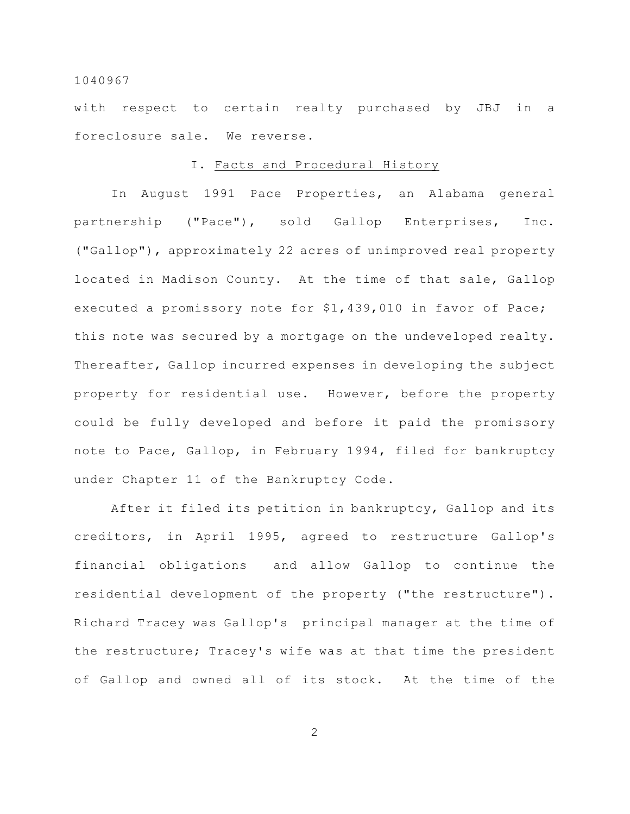with respect to certain realty purchased by JBJ in a foreclosure sale. We reverse.

## I. Facts and Procedural History

In August 1991 Pace Properties, an Alabama general partnership ("Pace"), sold Gallop Enterprises, Inc. ("Gallop"), approximately 22 acres of unimproved real property located in Madison County. At the time of that sale, Gallop executed a promissory note for \$1,439,010 in favor of Pace; this note was secured by a mortgage on the undeveloped realty. Thereafter, Gallop incurred expenses in developing the subject property for residential use. However, before the property could be fully developed and before it paid the promissory note to Pace, Gallop, in February 1994, filed for bankruptcy under Chapter 11 of the Bankruptcy Code.

After it filed its petition in bankruptcy, Gallop and its creditors, in April 1995, agreed to restructure Gallop's financial obligations and allow Gallop to continue the residential development of the property ("the restructure"). Richard Tracey was Gallop's principal manager at the time of the restructure; Tracey's wife was at that time the president of Gallop and owned all of its stock. At the time of the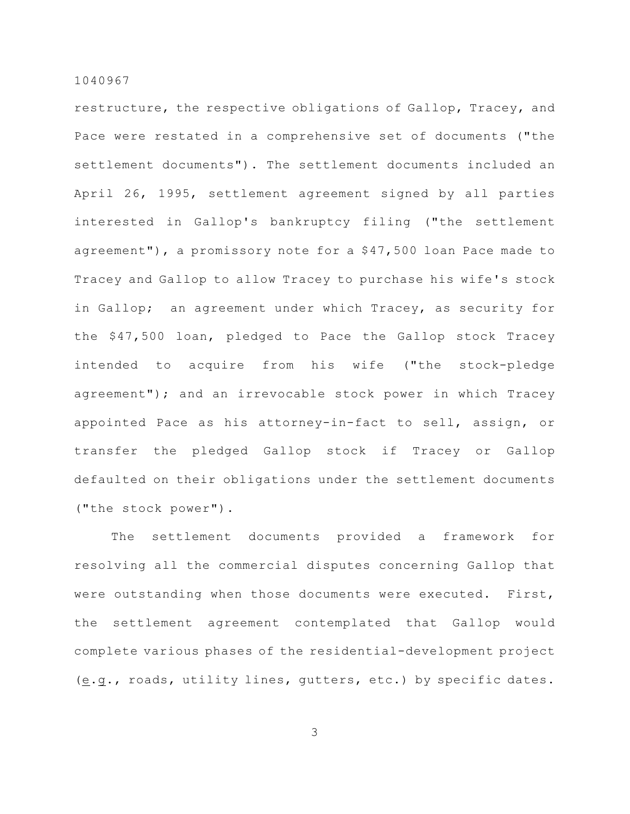restructure, the respective obligations of Gallop, Tracey, and Pace were restated in a comprehensive set of documents ("the settlement documents"). The settlement documents included an April 26, 1995, settlement agreement signed by all parties interested in Gallop's bankruptcy filing ("the settlement agreement"), a promissory note for a \$47,500 loan Pace made to Tracey and Gallop to allow Tracey to purchase his wife's stock in Gallop; an agreement under which Tracey, as security for the \$47,500 loan, pledged to Pace the Gallop stock Tracey intended to acquire from his wife ("the stock-pledge agreement"); and an irrevocable stock power in which Tracey appointed Pace as his attorney-in-fact to sell, assign, or transfer the pledged Gallop stock if Tracey or Gallop defaulted on their obligations under the settlement documents ("the stock power").

The settlement documents provided a framework for resolving all the commercial disputes concerning Gallop that were outstanding when those documents were executed. First, the settlement agreement contemplated that Gallop would complete various phases of the residential-development project (e.g., roads, utility lines, gutters, etc.) by specific dates.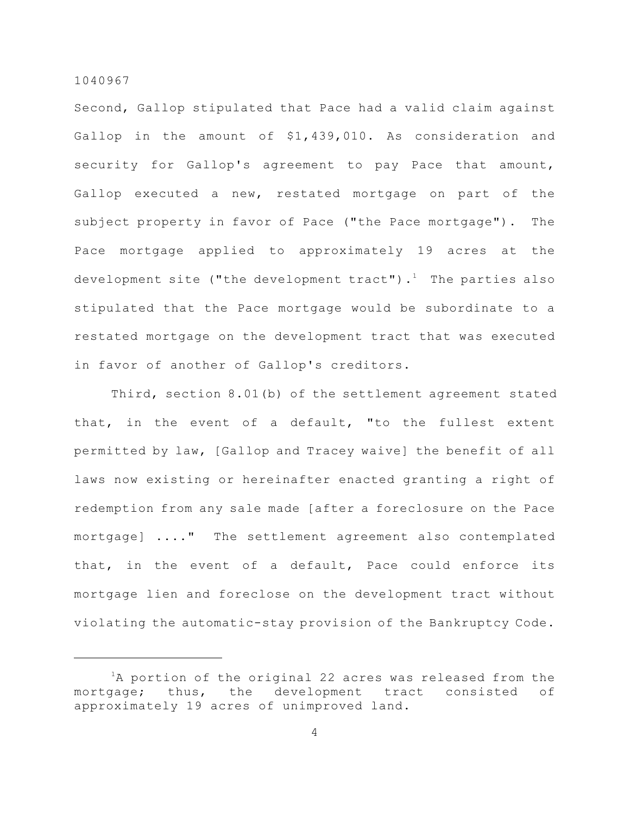Second, Gallop stipulated that Pace had a valid claim against Gallop in the amount of \$1,439,010. As consideration and security for Gallop's agreement to pay Pace that amount, Gallop executed a new, restated mortgage on part of the subject property in favor of Pace ("the Pace mortgage"). The Pace mortgage applied to approximately 19 acres at the development site ("the development tract").<sup>1</sup> The parties also stipulated that the Pace mortgage would be subordinate to a restated mortgage on the development tract that was executed in favor of another of Gallop's creditors.

Third, section 8.01(b) of the settlement agreement stated that, in the event of a default, "to the fullest extent permitted by law, [Gallop and Tracey waive] the benefit of all laws now existing or hereinafter enacted granting a right of redemption from any sale made [after a foreclosure on the Pace mortgage] ...." The settlement agreement also contemplated that, in the event of a default, Pace could enforce its mortgage lien and foreclose on the development tract without violating the automatic-stay provision of the Bankruptcy Code.

 ${}^{1}$ A portion of the original 22 acres was released from the mortgage; thus, the development tract consisted of approximately 19 acres of unimproved land.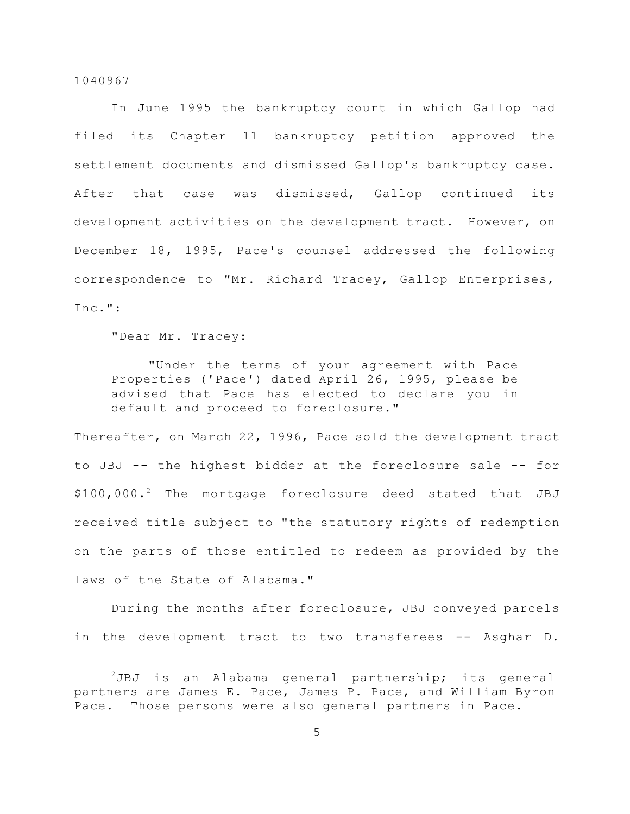In June 1995 the bankruptcy court in which Gallop had filed its Chapter 11 bankruptcy petition approved the settlement documents and dismissed Gallop's bankruptcy case. After that case was dismissed, Gallop continued its development activities on the development tract. However, on December 18, 1995, Pace's counsel addressed the following correspondence to "Mr. Richard Tracey, Gallop Enterprises, Inc.":

"Dear Mr. Tracey:

"Under the terms of your agreement with Pace Properties ('Pace') dated April 26, 1995, please be advised that Pace has elected to declare you in default and proceed to foreclosure."

Thereafter, on March 22, 1996, Pace sold the development tract to JBJ -- the highest bidder at the foreclosure sale -- for \$100,000.<sup>2</sup> The mortgage foreclosure deed stated that JBJ received title subject to "the statutory rights of redemption on the parts of those entitled to redeem as provided by the laws of the State of Alabama."

During the months after foreclosure, JBJ conveyed parcels in the development tract to two transferees -- Asghar D.

 $2JBJ$  is an Alabama general partnership; its general partners are James E. Pace, James P. Pace, and William Byron Pace. Those persons were also general partners in Pace.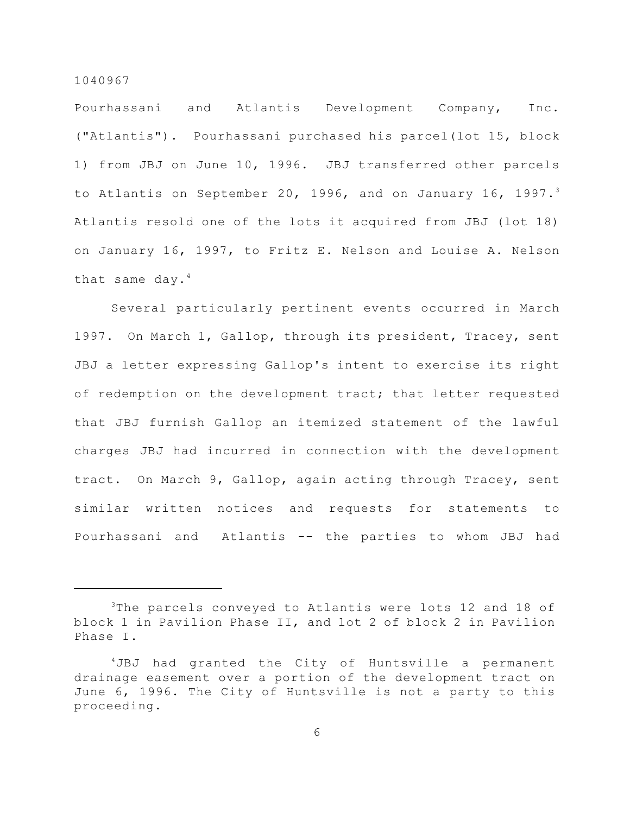Pourhassani and Atlantis Development Company, Inc. ("Atlantis"). Pourhassani purchased his parcel(lot 15, block 1) from JBJ on June 10, 1996. JBJ transferred other parcels to Atlantis on September 20, 1996, and on January 16, 1997. $^3$ Atlantis resold one of the lots it acquired from JBJ (lot 18) on January 16, 1997, to Fritz E. Nelson and Louise A. Nelson that same day. $4$ 

Several particularly pertinent events occurred in March 1997. On March 1, Gallop, through its president, Tracey, sent JBJ a letter expressing Gallop's intent to exercise its right of redemption on the development tract; that letter requested that JBJ furnish Gallop an itemized statement of the lawful charges JBJ had incurred in connection with the development tract. On March 9, Gallop, again acting through Tracey, sent similar written notices and requests for statements to Pourhassani and Atlantis -- the parties to whom JBJ had

 $3$ The parcels conveyed to Atlantis were lots 12 and 18 of block 1 in Pavilion Phase II, and lot 2 of block 2 in Pavilion Phase I.

 $4JBJ$  had granted the City of Huntsville a permanent drainage easement over a portion of the development tract on June 6, 1996. The City of Huntsville is not a party to this proceeding.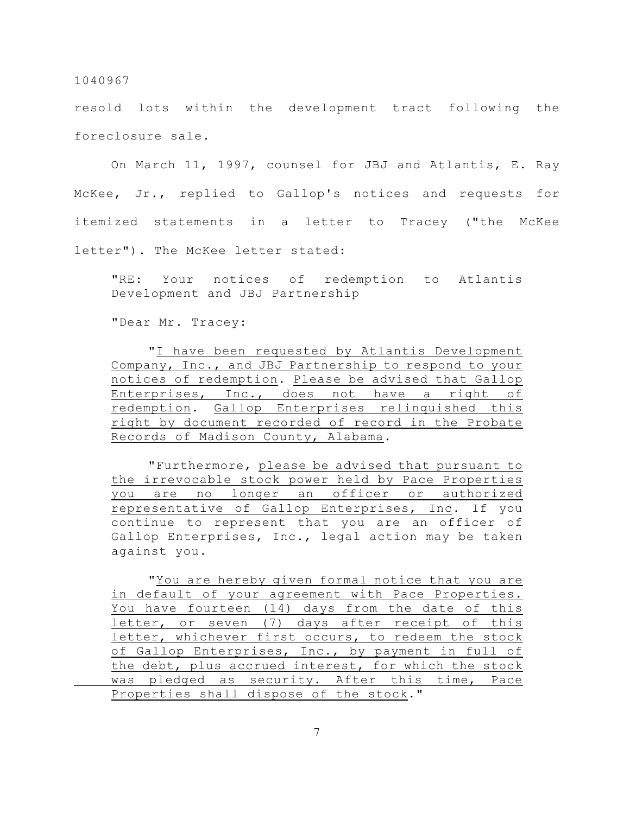resold lots within the development tract following the foreclosure sale.

On March 11, 1997, counsel for JBJ and Atlantis, E. Ray McKee, Jr., replied to Gallop's notices and requests for itemized statements in a letter to Tracey ("the McKee letter"). The McKee letter stated:

"RE: Your notices of redemption to Atlantis Development and JBJ Partnership

"Dear Mr. Tracey:

"I have been requested by Atlantis Development Company, Inc., and JBJ Partnership to respond to your notices of redemption. Please be advised that Gallop Enterprises, Inc., does not have a right of redemption. Gallop Enterprises relinquished this right by document recorded of record in the Probate Records of Madison County, Alabama.

"Furthermore, please be advised that pursuant to the irrevocable stock power held by Pace Properties you are no longer an officer or authorized representative of Gallop Enterprises, Inc. If you continue to represent that you are an officer of Gallop Enterprises, Inc., legal action may be taken against you.

"You are hereby given formal notice that you are in default of your agreement with Pace Properties. You have fourteen (14) days from the date of this letter, or seven (7) days after receipt of this letter, whichever first occurs, to redeem the stock of Gallop Enterprises, Inc., by payment in full of the debt, plus accrued interest, for which the stock was pledged as security. After this time, Pace Properties shall dispose of the stock."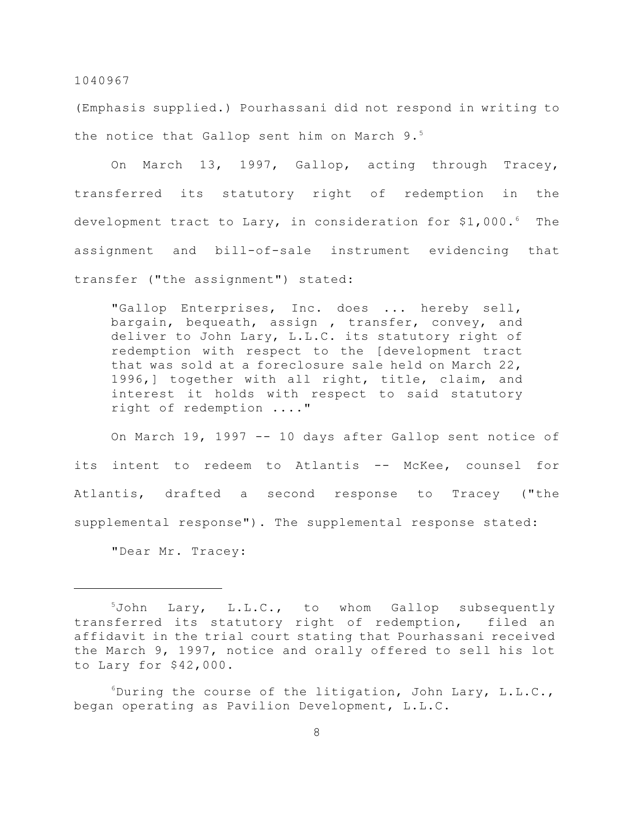(Emphasis supplied.) Pourhassani did not respond in writing to the notice that Gallop sent him on March 9.<sup>5</sup>

On March 13, 1997, Gallop, acting through Tracey, transferred its statutory right of redemption in the development tract to Lary, in consideration for \$1,000. $^6$  The assignment and bill-of-sale instrument evidencing that transfer ("the assignment") stated:

"Gallop Enterprises, Inc. does ... hereby sell, bargain, bequeath, assign , transfer, convey, and deliver to John Lary, L.L.C. its statutory right of redemption with respect to the [development tract that was sold at a foreclosure sale held on March 22, 1996,] together with all right, title, claim, and interest it holds with respect to said statutory right of redemption ...."

On March 19, 1997 -- 10 days after Gallop sent notice of its intent to redeem to Atlantis -- McKee, counsel for Atlantis, drafted a second response to Tracey ("the supplemental response"). The supplemental response stated:

"Dear Mr. Tracey:

 $5$ John Lary, L.L.C., to whom Gallop subsequently transferred its statutory right of redemption, filed an affidavit in the trial court stating that Pourhassani received the March 9, 1997, notice and orally offered to sell his lot to Lary for \$42,000.

 $6$ During the course of the litigation, John Lary, L.L.C., began operating as Pavilion Development, L.L.C.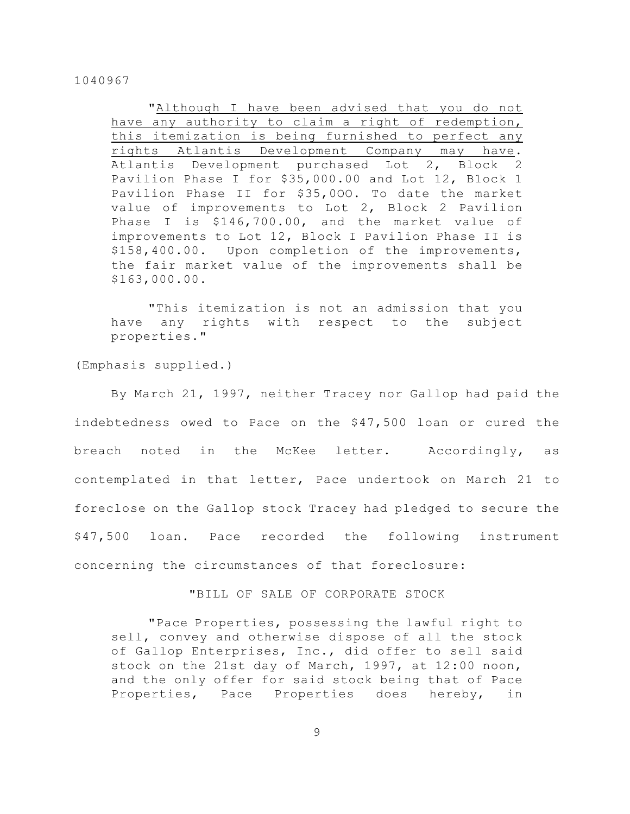"Although I have been advised that you do not have any authority to claim a right of redemption, this itemization is being furnished to perfect any rights Atlantis Development Company may have. Atlantis Development purchased Lot 2, Block 2 Pavilion Phase I for \$35,000.00 and Lot 12, B1ock 1 Pavilion Phase II for \$35,0OO. To date the market value of improvements to Lot 2, Block 2 Pavilion Phase I is \$146,700.00, and the market value of improvements to Lot 12, Block I Pavilion Phase II is \$158,400.00. Upon completion of the improvements, the fair market value of the improvements shall be \$163,000.00.

"This itemization is not an admission that you have any rights with respect to the subject properties."

(Emphasis supplied.)

By March 21, 1997, neither Tracey nor Gallop had paid the indebtedness owed to Pace on the \$47,500 loan or cured the breach noted in the McKee letter. Accordingly, as contemplated in that letter, Pace undertook on March 21 to foreclose on the Gallop stock Tracey had pledged to secure the \$47,500 loan. Pace recorded the following instrument concerning the circumstances of that foreclosure:

"BILL OF SALE OF CORPORATE STOCK

"Pace Properties, possessing the lawful right to sell, convey and otherwise dispose of all the stock of Gallop Enterprises, Inc., did offer to sell said stock on the 21st day of March, 1997, at 12:00 noon, and the only offer for said stock being that of Pace Properties, Pace Properties does hereby, in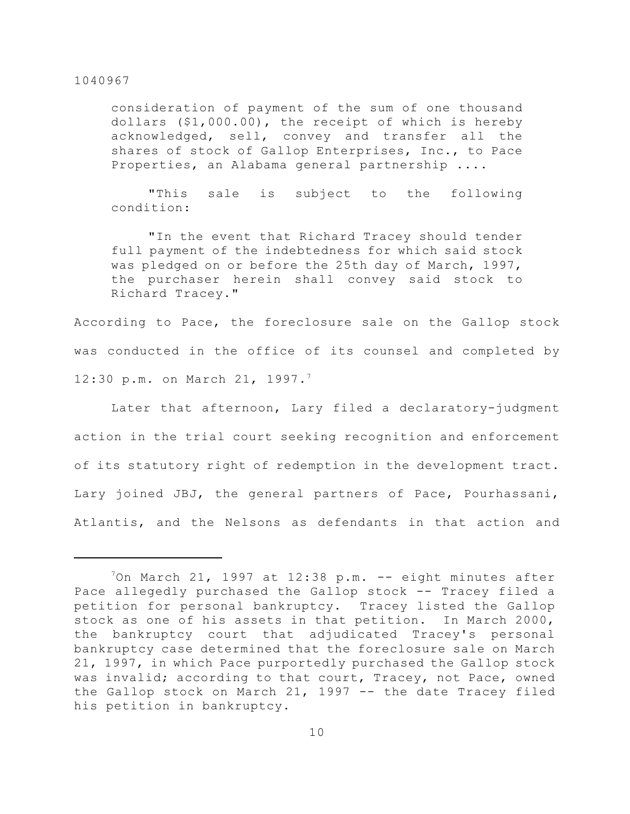consideration of payment of the sum of one thousand dollars (\$1,000.00), the receipt of which is hereby acknowledged, sell, convey and transfer all the shares of stock of Gallop Enterprises, Inc., to Pace Properties, an Alabama general partnership ....

"This sale is subject to the following condition:

"In the event that Richard Tracey should tender full payment of the indebtedness for which said stock was pledged on or before the 25th day of March, 1997, the purchaser herein shall convey said stock to Richard Tracey."

According to Pace, the foreclosure sale on the Gallop stock was conducted in the office of its counsel and completed by 12:30 p.m. on March 21, 1997.<sup>7</sup>

Later that afternoon, Lary filed a declaratory-judgment action in the trial court seeking recognition and enforcement of its statutory right of redemption in the development tract. Lary joined JBJ, the general partners of Pace, Pourhassani, Atlantis, and the Nelsons as defendants in that action and

 $\frac{70n}{n}$  March 21, 1997 at 12:38 p.m. -- eight minutes after Pace allegedly purchased the Gallop stock -- Tracey filed a petition for personal bankruptcy. Tracey listed the Gallop stock as one of his assets in that petition. In March 2000, the bankruptcy court that adjudicated Tracey's personal bankruptcy case determined that the foreclosure sale on March 21, 1997, in which Pace purportedly purchased the Gallop stock was invalid; according to that court, Tracey, not Pace, owned the Gallop stock on March 21, 1997  $-$  the date Tracey filed his petition in bankruptcy.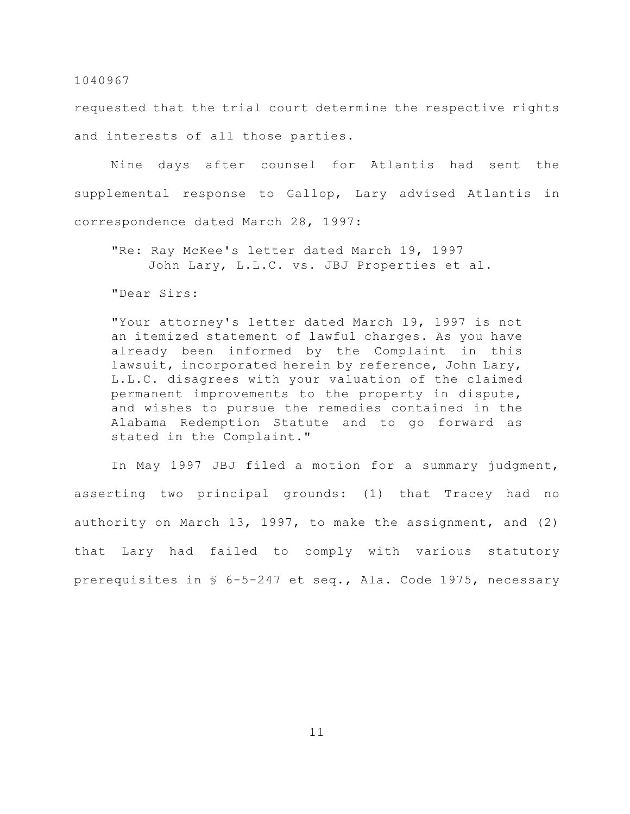requested that the trial court determine the respective rights and interests of all those parties.

Nine days after counsel for Atlantis had sent the supplemental response to Gallop, Lary advised Atlantis in correspondence dated March 28, 1997:

"Re: Ray McKee's letter dated March 19, 1997 John Lary, L.L.C. vs. JBJ Properties et al.

"Dear Sirs:

"Your attorney's letter dated March 19, 1997 is not an itemized statement of lawful charges. As you have already been informed by the Complaint in this lawsuit, incorporated herein by reference, John Lary, L.L.C. disagrees with your valuation of the claimed permanent improvements to the property in dispute, and wishes to pursue the remedies contained in the Alabama Redemption Statute and to go forward as stated in the Complaint."

In May 1997 JBJ filed a motion for a summary judgment, asserting two principal grounds: (1) that Tracey had no authority on March 13, 1997, to make the assignment, and (2) that Lary had failed to comply with various statutory prerequisites in § 6-5-247 et seq., Ala. Code 1975, necessary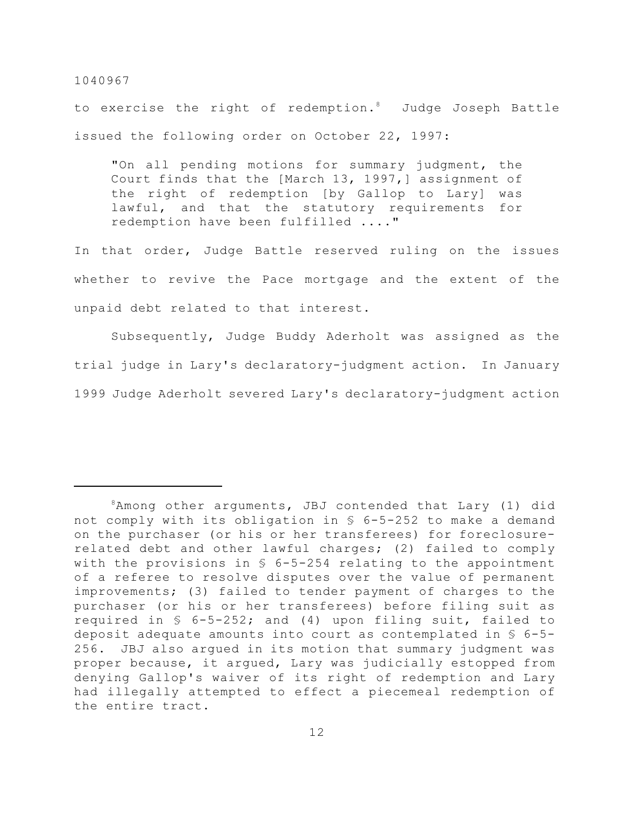to exercise the right of redemption. $\delta$  Judge Joseph Battle issued the following order on October 22, 1997:

"On all pending motions for summary judgment, the Court finds that the [March 13, 1997,] assignment of the right of redemption [by Gallop to Lary] was lawful, and that the statutory requirements for redemption have been fulfilled ...."

In that order, Judge Battle reserved ruling on the issues whether to revive the Pace mortgage and the extent of the unpaid debt related to that interest.

Subsequently, Judge Buddy Aderholt was assigned as the trial judge in Lary's declaratory-judgment action. In January 1999 Judge Aderholt severed Lary's declaratory-judgment action

 $8$ Among other arguments, JBJ contended that Lary (1) did not comply with its obligation in § 6-5-252 to make a demand on the purchaser (or his or her transferees) for foreclosurerelated debt and other lawful charges; (2) failed to comply with the provisions in § 6-5-254 relating to the appointment of a referee to resolve disputes over the value of permanent improvements; (3) failed to tender payment of charges to the purchaser (or his or her transferees) before filing suit as required in § 6-5-252; and (4) upon filing suit, failed to deposit adequate amounts into court as contemplated in § 6-5- 256. JBJ also argued in its motion that summary judgment was proper because, it argued, Lary was judicially estopped from denying Gallop's waiver of its right of redemption and Lary had illegally attempted to effect a piecemeal redemption of the entire tract.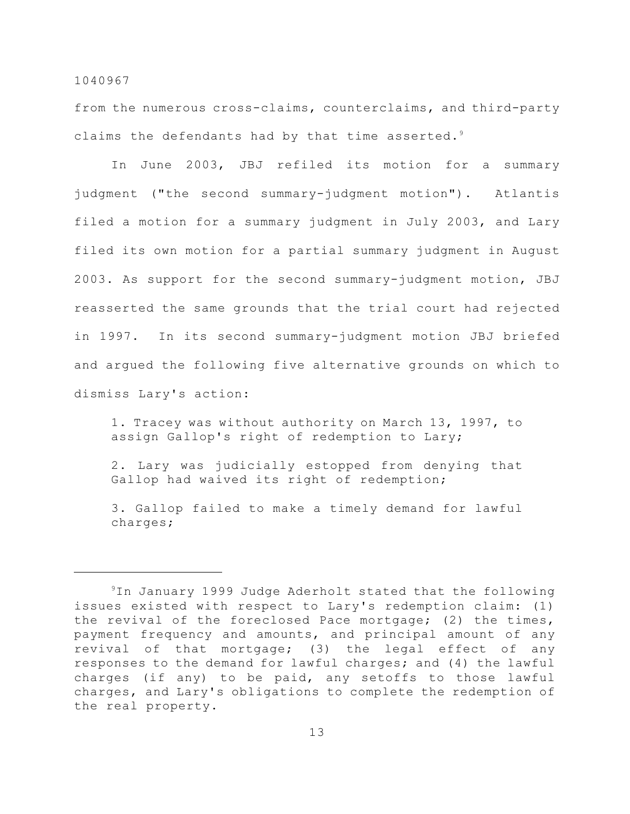from the numerous cross-claims, counterclaims, and third-party claims the defendants had by that time asserted. $9$ 

In June 2003, JBJ refiled its motion for a summary judgment ("the second summary-judgment motion"). Atlantis filed a motion for a summary judgment in July 2003, and Lary filed its own motion for a partial summary judgment in August 2003. As support for the second summary-judgment motion, JBJ reasserted the same grounds that the trial court had rejected in 1997. In its second summary-judgment motion JBJ briefed and argued the following five alternative grounds on which to dismiss Lary's action:

1. Tracey was without authority on March 13, 1997, to assign Gallop's right of redemption to Lary;

2. Lary was judicially estopped from denying that Gallop had waived its right of redemption;

3. Gallop failed to make a timely demand for lawful charges;

 $9$ In January 1999 Judge Aderholt stated that the following issues existed with respect to Lary's redemption claim: (1) the revival of the foreclosed Pace mortgage; (2) the times, payment frequency and amounts, and principal amount of any revival of that mortgage; (3) the legal effect of any responses to the demand for lawful charges; and (4) the lawful charges (if any) to be paid, any setoffs to those lawful charges, and Lary's obligations to complete the redemption of the real property.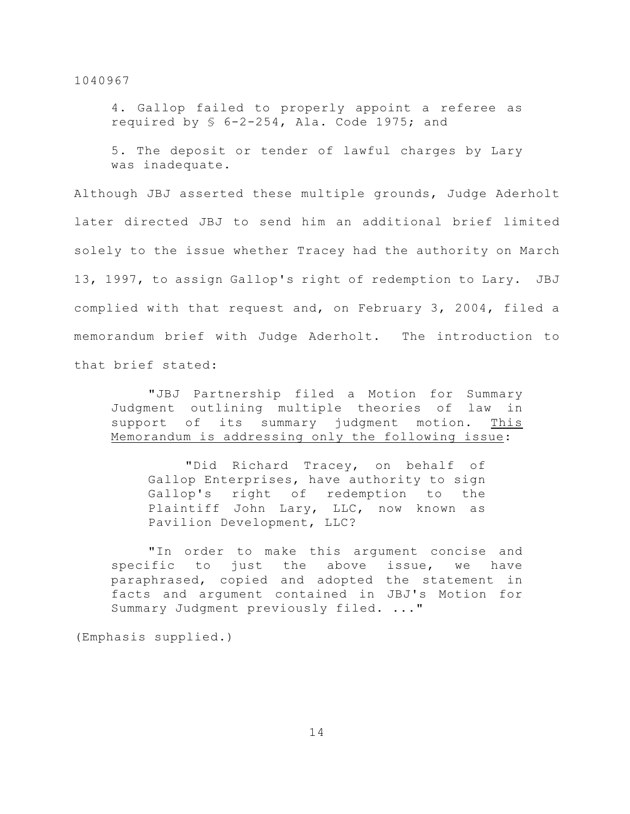4. Gallop failed to properly appoint a referee as required by § 6-2-254, Ala. Code 1975; and

5. The deposit or tender of lawful charges by Lary was inadequate.

Although JBJ asserted these multiple grounds, Judge Aderholt later directed JBJ to send him an additional brief limited solely to the issue whether Tracey had the authority on March 13, 1997, to assign Gallop's right of redemption to Lary. JBJ complied with that request and, on February 3, 2004, filed a memorandum brief with Judge Aderholt. The introduction to that brief stated:

"JBJ Partnership filed a Motion for Summary Judgment outlining multiple theories of law in support of its summary judgment motion. This Memorandum is addressing only the following issue:

"Did Richard Tracey, on behalf of Gallop Enterprises, have authority to sign Gallop's right of redemption to the Plaintiff John Lary, LLC, now known as Pavilion Development, LLC?

"In order to make this argument concise and specific to just the above issue, we have paraphrased, copied and adopted the statement in facts and argument contained in JBJ's Motion for Summary Judgment previously filed. ..."

(Emphasis supplied.)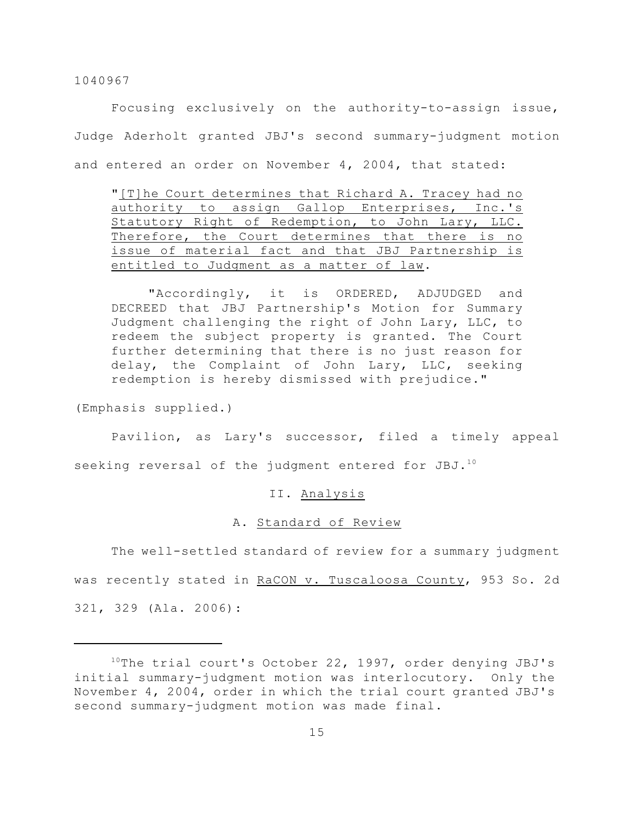Focusing exclusively on the authority-to-assign issue, Judge Aderholt granted JBJ's second summary-judgment motion and entered an order on November 4, 2004, that stated:

"[T]he Court determines that Richard A. Tracey had no authority to assign Gallop Enterprises, Inc.'s Statutory Right of Redemption, to John Lary, LLC. Therefore, the Court determines that there is no issue of material fact and that JBJ Partnership is entitled to Judgment as a matter of law.

"Accordingly, it is ORDERED, ADJUDGED and DECREED that JBJ Partnership's Motion for Summary Judgment challenging the right of John Lary, LLC, to redeem the subject property is granted. The Court further determining that there is no just reason for delay, the Complaint of John Lary, LLC, seeking redemption is hereby dismissed with prejudice."

(Emphasis supplied.)

Pavilion, as Lary's successor, filed a timely appeal seeking reversal of the judgment entered for JBJ.<sup>10</sup>

## II. Analysis

## A. Standard of Review

The well-settled standard of review for a summary judgment was recently stated in RaCON v. Tuscaloosa County, 953 So. 2d 321, 329 (Ala. 2006):

 $10$ The trial court's October 22, 1997, order denying JBJ's initial summary-judgment motion was interlocutory. Only the November 4, 2004, order in which the trial court granted JBJ's second summary-judgment motion was made final.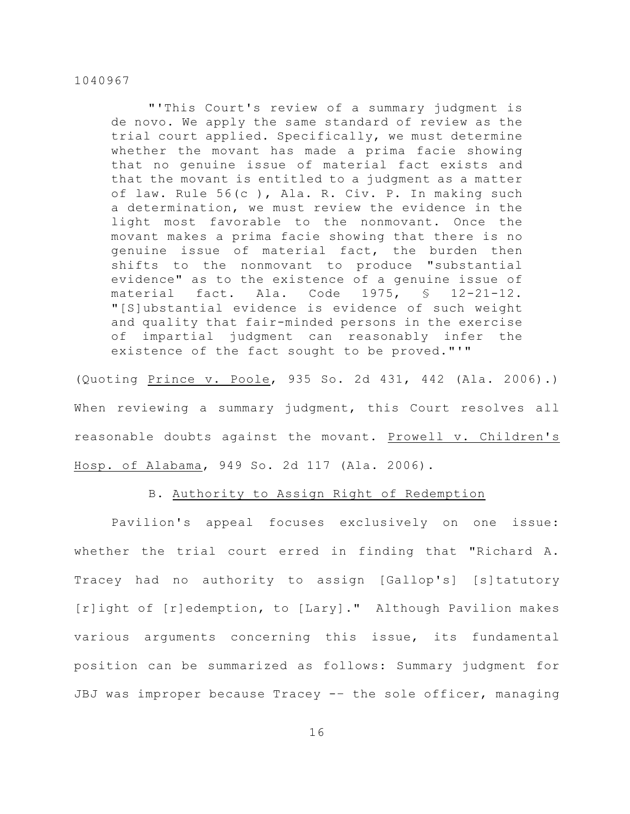"'This Court's review of a summary judgment is de novo. We apply the same standard of review as the trial court applied. Specifically, we must determine whether the movant has made a prima facie showing that no genuine issue of material fact exists and that the movant is entitled to a judgment as a matter of law. Rule 56(c ), Ala. R. Civ. P. In making such a determination, we must review the evidence in the light most favorable to the nonmovant. Once the movant makes a prima facie showing that there is no genuine issue of material fact, the burden then shifts to the nonmovant to produce "substantial evidence" as to the existence of a genuine issue of material fact. Ala. Code 1975, § 12-21-12. "[S]ubstantial evidence is evidence of such weight and quality that fair-minded persons in the exercise of impartial judgment can reasonably infer the existence of the fact sought to be proved."'"

(Quoting Prince v. Poole, 935 So. 2d 431, 442 (Ala. 2006).) When reviewing a summary judgment, this Court resolves all reasonable doubts against the movant. Prowell v. Children's Hosp. of Alabama, 949 So. 2d 117 (Ala. 2006).

# B. Authority to Assign Right of Redemption

Pavilion's appeal focuses exclusively on one issue: whether the trial court erred in finding that "Richard A. Tracey had no authority to assign [Gallop's] [s]tatutory [r]ight of [r]edemption, to [Lary]." Although Pavilion makes various arguments concerning this issue, its fundamental position can be summarized as follows: Summary judgment for JBJ was improper because Tracey -– the sole officer, managing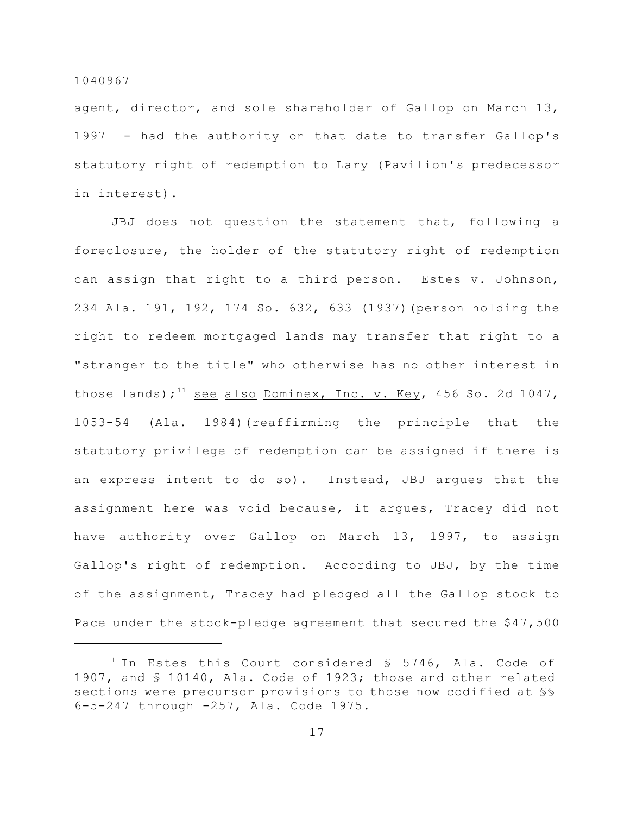agent, director, and sole shareholder of Gallop on March 13, 1997 –- had the authority on that date to transfer Gallop's statutory right of redemption to Lary (Pavilion's predecessor in interest).

JBJ does not question the statement that, following a foreclosure, the holder of the statutory right of redemption can assign that right to a third person. Estes v. Johnson, 234 Ala. 191, 192, 174 So. 632, 633 (1937)(person holding the right to redeem mortgaged lands may transfer that right to a "stranger to the title" who otherwise has no other interest in those lands);<sup>11</sup> see also Dominex, Inc. v. Key, 456 So. 2d 1047, 1053-54 (Ala. 1984)(reaffirming the principle that the statutory privilege of redemption can be assigned if there is an express intent to do so). Instead, JBJ argues that the assignment here was void because, it argues, Tracey did not have authority over Gallop on March 13, 1997, to assign Gallop's right of redemption. According to JBJ, by the time of the assignment, Tracey had pledged all the Gallop stock to Pace under the stock-pledge agreement that secured the \$47,500

 $11$ In Estes this Court considered § 5746, Ala. Code of 1907, and § 10140, Ala. Code of 1923; those and other related sections were precursor provisions to those now codified at §§ 6-5-247 through -257, Ala. Code 1975.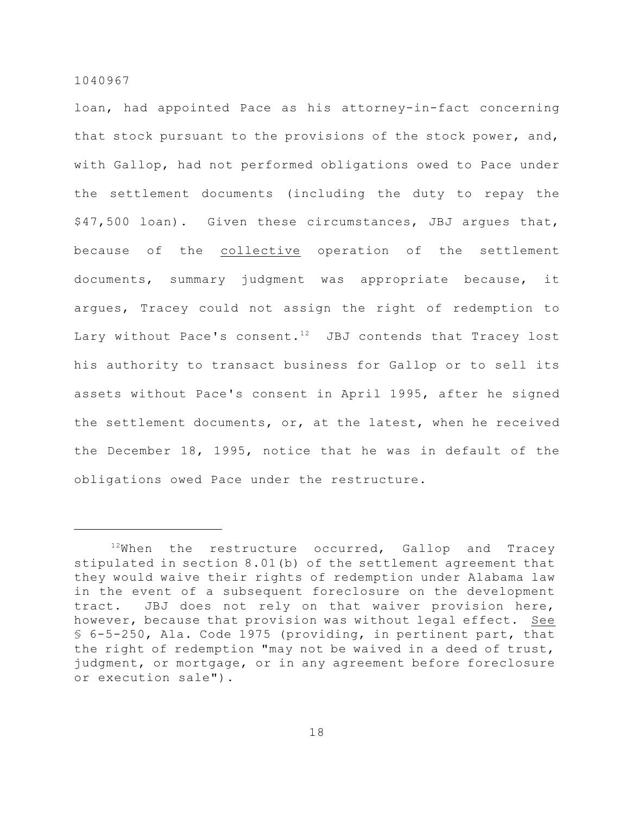loan, had appointed Pace as his attorney-in-fact concerning that stock pursuant to the provisions of the stock power, and, with Gallop, had not performed obligations owed to Pace under the settlement documents (including the duty to repay the \$47,500 loan). Given these circumstances, JBJ argues that, because of the collective operation of the settlement documents, summary judgment was appropriate because, it argues, Tracey could not assign the right of redemption to Lary without Pace's consent.<sup>12</sup> JBJ contends that Tracey lost his authority to transact business for Gallop or to sell its assets without Pace's consent in April 1995, after he signed the settlement documents, or, at the latest, when he received the December 18, 1995, notice that he was in default of the obligations owed Pace under the restructure.

 $12$ When the restructure occurred, Gallop and Tracey stipulated in section 8.01(b) of the settlement agreement that they would waive their rights of redemption under Alabama law in the event of a subsequent foreclosure on the development tract. JBJ does not rely on that waiver provision here, however, because that provision was without legal effect. See § 6-5-250, Ala. Code 1975 (providing, in pertinent part, that the right of redemption "may not be waived in a deed of trust, judgment, or mortgage, or in any agreement before foreclosure or execution sale").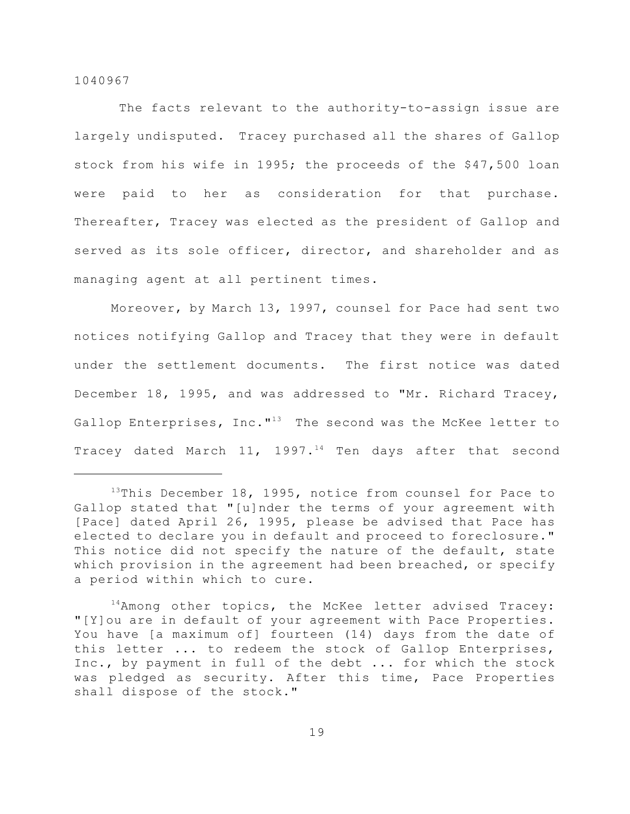The facts relevant to the authority-to-assign issue are largely undisputed. Tracey purchased all the shares of Gallop stock from his wife in 1995; the proceeds of the \$47,500 loan were paid to her as consideration for that purchase. Thereafter, Tracey was elected as the president of Gallop and served as its sole officer, director, and shareholder and as managing agent at all pertinent times.

Moreover, by March 13, 1997, counsel for Pace had sent two notices notifying Gallop and Tracey that they were in default under the settlement documents. The first notice was dated December 18, 1995, and was addressed to "Mr. Richard Tracey, Gallop Enterprises, Inc. $13$  The second was the McKee letter to Tracey dated March 11, 1997.<sup>14</sup> Ten days after that second

 $13$ This December 18, 1995, notice from counsel for Pace to Gallop stated that "[u]nder the terms of your agreement with [Pace] dated April 26, 1995, please be advised that Pace has elected to declare you in default and proceed to foreclosure." This notice did not specify the nature of the default, state which provision in the agreement had been breached, or specify a period within which to cure.

 $14$ Among other topics, the McKee letter advised Tracey: "[Y]ou are in default of your agreement with Pace Properties. You have [a maximum of] fourteen (14) days from the date of this letter ... to redeem the stock of Gallop Enterprises, Inc., by payment in full of the debt ... for which the stock was pledged as security. After this time, Pace Properties shall dispose of the stock."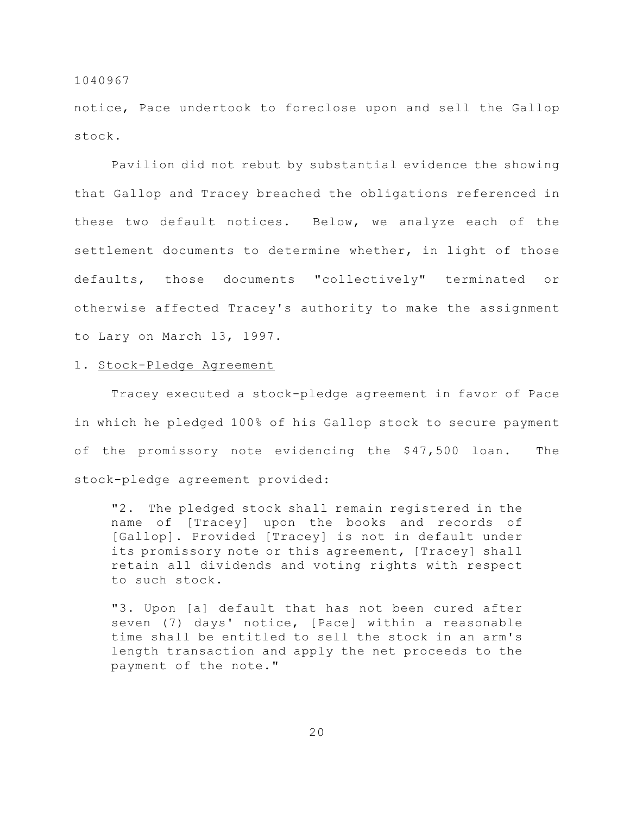notice, Pace undertook to foreclose upon and sell the Gallop stock.

Pavilion did not rebut by substantial evidence the showing that Gallop and Tracey breached the obligations referenced in these two default notices. Below, we analyze each of the settlement documents to determine whether, in light of those defaults, those documents "collectively" terminated or otherwise affected Tracey's authority to make the assignment to Lary on March 13, 1997.

# 1. Stock-Pledge Agreement

Tracey executed a stock-pledge agreement in favor of Pace in which he pledged 100% of his Gallop stock to secure payment of the promissory note evidencing the \$47,500 loan. The stock-pledge agreement provided:

"2. The pledged stock shall remain registered in the name of [Tracey] upon the books and records of [Gallop]. Provided [Tracey] is not in default under its promissory note or this agreement, [Tracey] shall retain all dividends and voting rights with respect to such stock.

"3. Upon [a] default that has not been cured after seven (7) days' notice, [Pace] within a reasonable time shall be entitled to sell the stock in an arm's length transaction and apply the net proceeds to the payment of the note."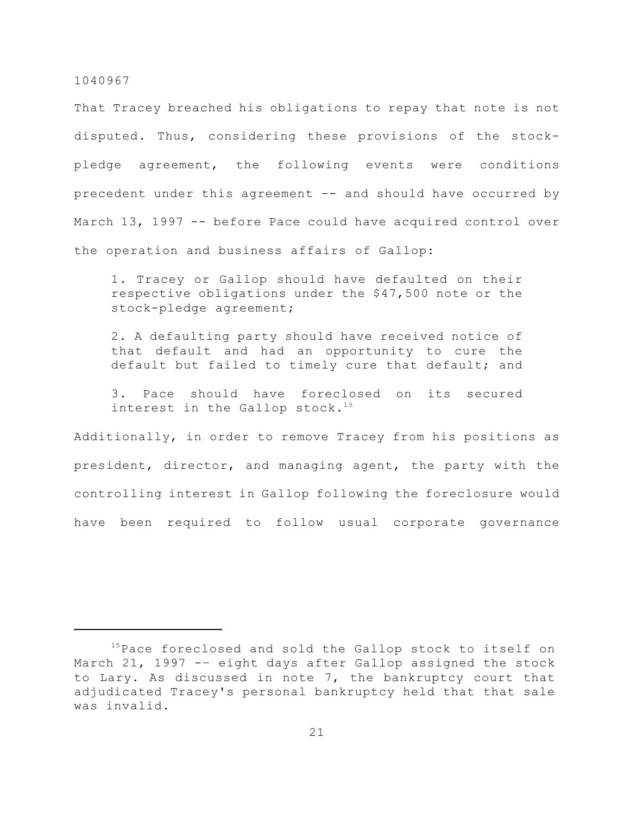That Tracey breached his obligations to repay that note is not disputed. Thus, considering these provisions of the stockpledge agreement, the following events were conditions precedent under this agreement -- and should have occurred by March 13, 1997 -- before Pace could have acquired control over the operation and business affairs of Gallop:

1. Tracey or Gallop should have defaulted on their respective obligations under the \$47,500 note or the stock-pledge agreement;

2. A defaulting party should have received notice of that default and had an opportunity to cure the default but failed to timely cure that default; and

3. Pace should have foreclosed on its secured interest in the Gallop stock.<sup>15</sup>

Additionally, in order to remove Tracey from his positions as president, director, and managing agent, the party with the controlling interest in Gallop following the foreclosure would have been required to follow usual corporate governance

 $15$ Pace foreclosed and sold the Gallop stock to itself on March 21, 1997 -- eight days after Gallop assigned the stock to Lary. As discussed in note 7, the bankruptcy court that adjudicated Tracey's personal bankruptcy held that that sale was invalid.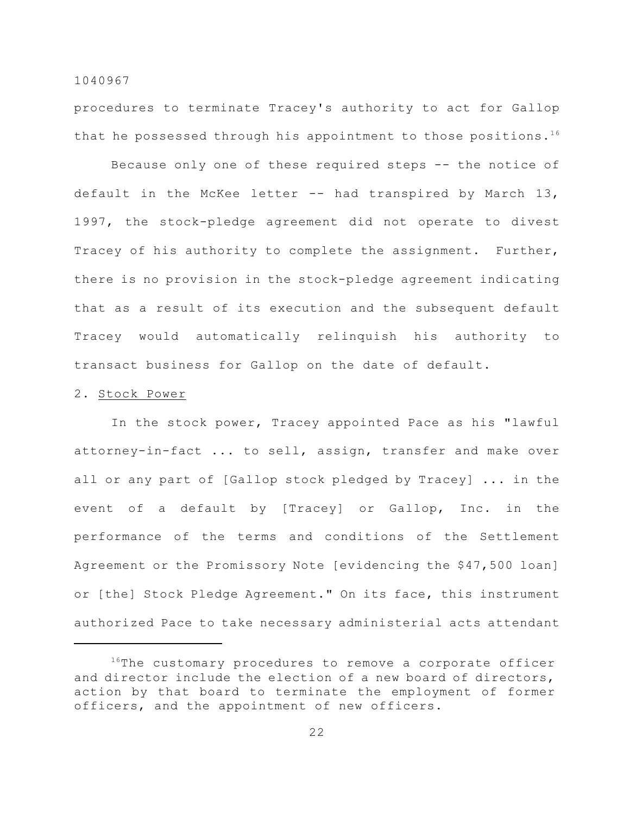procedures to terminate Tracey's authority to act for Gallop that he possessed through his appointment to those positions.<sup>16</sup>

Because only one of these required steps -- the notice of default in the McKee letter -- had transpired by March 13, 1997, the stock-pledge agreement did not operate to divest Tracey of his authority to complete the assignment. Further, there is no provision in the stock-pledge agreement indicating that as a result of its execution and the subsequent default Tracey would automatically relinquish his authority to transact business for Gallop on the date of default.

# 2. Stock Power

In the stock power, Tracey appointed Pace as his "lawful attorney-in-fact ... to sell, assign, transfer and make over all or any part of [Gallop stock pledged by Tracey] ... in the event of a default by [Tracey] or Gallop, Inc. in the performance of the terms and conditions of the Settlement Agreement or the Promissory Note [evidencing the \$47,500 loan] or [the] Stock Pledge Agreement." On its face, this instrument authorized Pace to take necessary administerial acts attendant

 $16$ <sup>16</sup>The customary procedures to remove a corporate officer and director include the election of a new board of directors, action by that board to terminate the employment of former officers, and the appointment of new officers.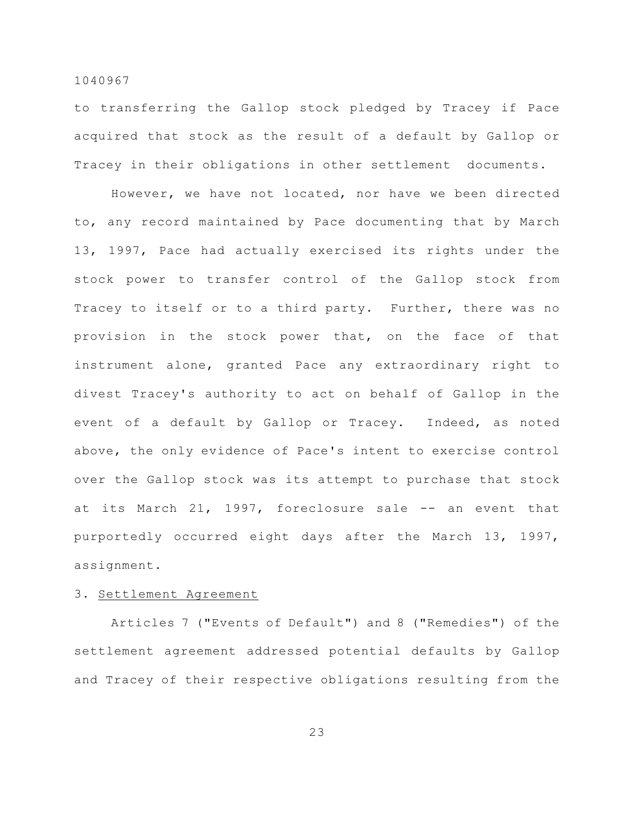to transferring the Gallop stock pledged by Tracey if Pace acquired that stock as the result of a default by Gallop or Tracey in their obligations in other settlement documents.

However, we have not located, nor have we been directed to, any record maintained by Pace documenting that by March 13, 1997, Pace had actually exercised its rights under the stock power to transfer control of the Gallop stock from Tracey to itself or to a third party. Further, there was no provision in the stock power that, on the face of that instrument alone, granted Pace any extraordinary right to divest Tracey's authority to act on behalf of Gallop in the event of a default by Gallop or Tracey. Indeed, as noted above, the only evidence of Pace's intent to exercise control over the Gallop stock was its attempt to purchase that stock at its March 21, 1997, foreclosure sale -- an event that purportedly occurred eight days after the March 13, 1997, assignment.

# 3. Settlement Agreement

Articles 7 ("Events of Default") and 8 ("Remedies") of the settlement agreement addressed potential defaults by Gallop and Tracey of their respective obligations resulting from the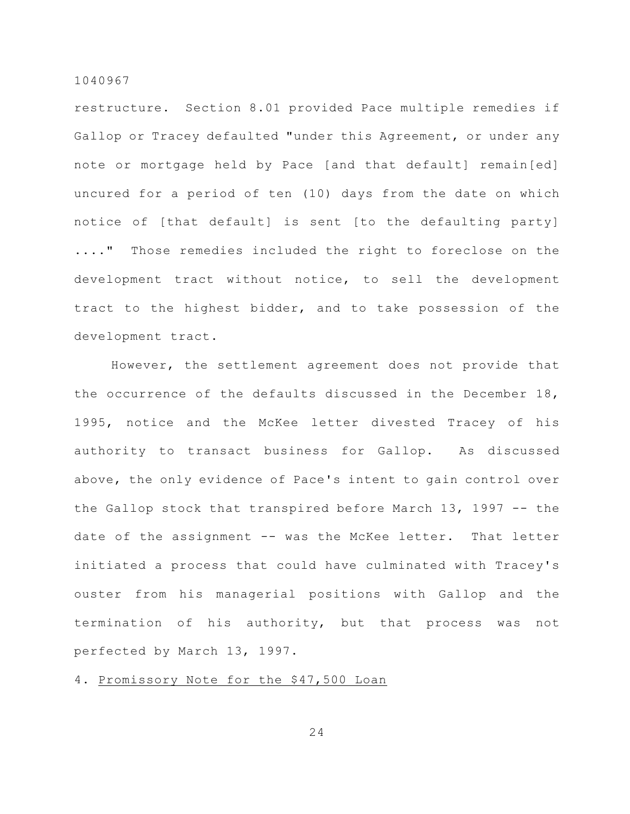restructure. Section 8.01 provided Pace multiple remedies if Gallop or Tracey defaulted "under this Agreement, or under any note or mortgage held by Pace [and that default] remain[ed] uncured for a period of ten (10) days from the date on which notice of [that default] is sent [to the defaulting party] ...." Those remedies included the right to foreclose on the development tract without notice, to sell the development tract to the highest bidder, and to take possession of the development tract.

However, the settlement agreement does not provide that the occurrence of the defaults discussed in the December 18, 1995, notice and the McKee letter divested Tracey of his authority to transact business for Gallop. As discussed above, the only evidence of Pace's intent to gain control over the Gallop stock that transpired before March 13, 1997 -- the date of the assignment -- was the McKee letter. That letter initiated a process that could have culminated with Tracey's ouster from his managerial positions with Gallop and the termination of his authority, but that process was not perfected by March 13, 1997.

# 4. Promissory Note for the \$47,500 Loan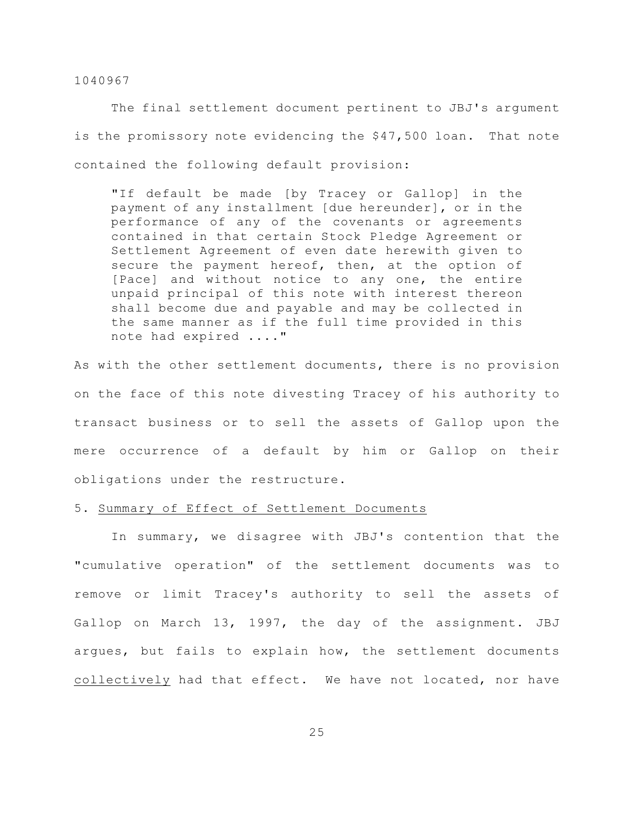The final settlement document pertinent to JBJ's argument is the promissory note evidencing the \$47,500 loan. That note contained the following default provision:

"If default be made [by Tracey or Gallop] in the payment of any installment [due hereunder], or in the performance of any of the covenants or agreements contained in that certain Stock Pledge Agreement or Settlement Agreement of even date herewith given to secure the payment hereof, then, at the option of [Pace] and without notice to any one, the entire unpaid principal of this note with interest thereon shall become due and payable and may be collected in the same manner as if the full time provided in this note had expired ...."

As with the other settlement documents, there is no provision on the face of this note divesting Tracey of his authority to transact business or to sell the assets of Gallop upon the mere occurrence of a default by him or Gallop on their obligations under the restructure.

# 5. Summary of Effect of Settlement Documents

In summary, we disagree with JBJ's contention that the "cumulative operation" of the settlement documents was to remove or limit Tracey's authority to sell the assets of Gallop on March 13, 1997, the day of the assignment. JBJ argues, but fails to explain how, the settlement documents collectively had that effect. We have not located, nor have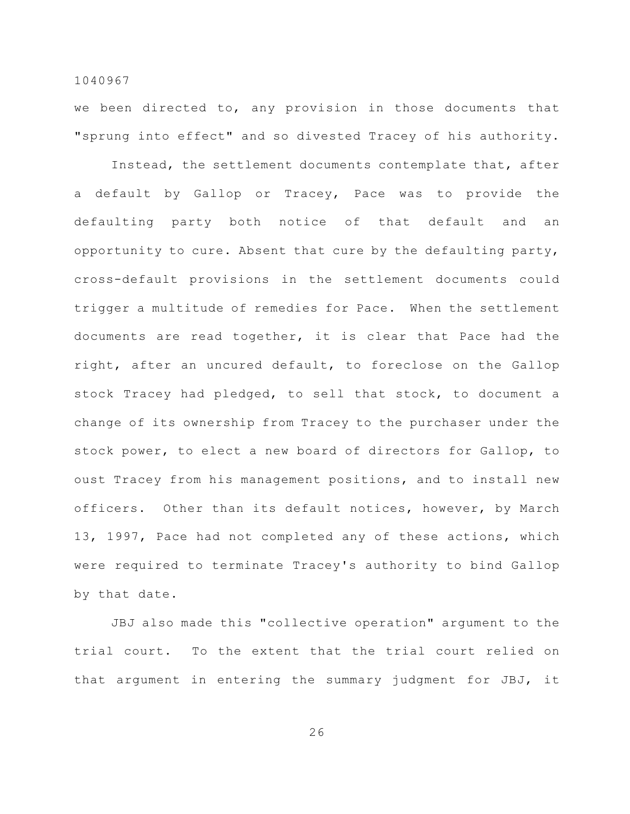we been directed to, any provision in those documents that "sprung into effect" and so divested Tracey of his authority.

Instead, the settlement documents contemplate that, after a default by Gallop or Tracey, Pace was to provide the defaulting party both notice of that default and an opportunity to cure. Absent that cure by the defaulting party, cross-default provisions in the settlement documents could trigger a multitude of remedies for Pace. When the settlement documents are read together, it is clear that Pace had the right, after an uncured default, to foreclose on the Gallop stock Tracey had pledged, to sell that stock, to document a change of its ownership from Tracey to the purchaser under the stock power, to elect a new board of directors for Gallop, to oust Tracey from his management positions, and to install new officers. Other than its default notices, however, by March 13, 1997, Pace had not completed any of these actions, which were required to terminate Tracey's authority to bind Gallop by that date.

JBJ also made this "collective operation" argument to the trial court. To the extent that the trial court relied on that argument in entering the summary judgment for JBJ, it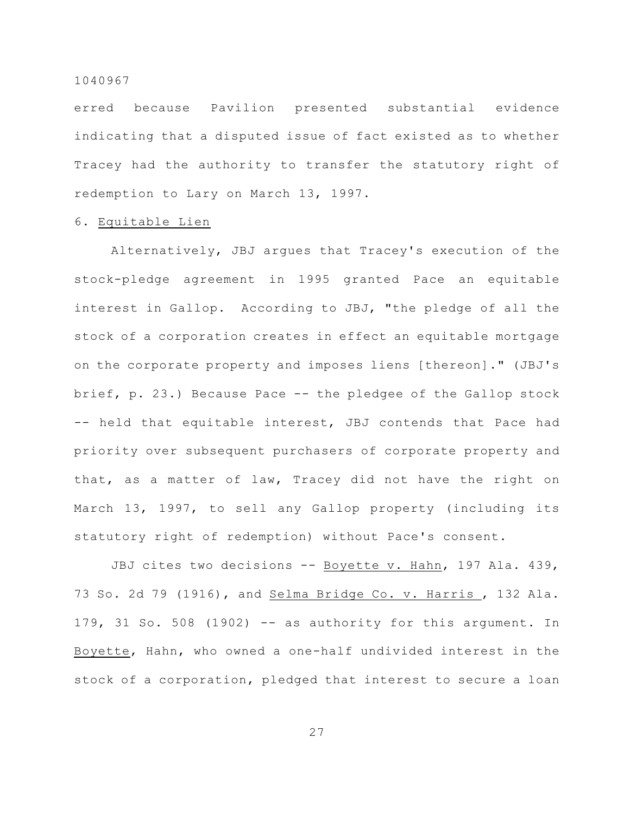erred because Pavilion presented substantial evidence indicating that a disputed issue of fact existed as to whether Tracey had the authority to transfer the statutory right of redemption to Lary on March 13, 1997.

# 6. Equitable Lien

Alternatively, JBJ argues that Tracey's execution of the stock-pledge agreement in 1995 granted Pace an equitable interest in Gallop. According to JBJ, "the pledge of all the stock of a corporation creates in effect an equitable mortgage on the corporate property and imposes liens [thereon]." (JBJ's brief, p. 23.) Because Pace -- the pledgee of the Gallop stock -- held that equitable interest, JBJ contends that Pace had priority over subsequent purchasers of corporate property and that, as a matter of law, Tracey did not have the right on March 13, 1997, to sell any Gallop property (including its statutory right of redemption) without Pace's consent.

JBJ cites two decisions -- Boyette v. Hahn, 197 Ala. 439, 73 So. 2d 79 (1916), and Selma Bridge Co. v. Harris , 132 Ala. 179, 31 So. 508 (1902)  $-$  as authority for this argument. In Boyette, Hahn, who owned a one-half undivided interest in the stock of a corporation, pledged that interest to secure a loan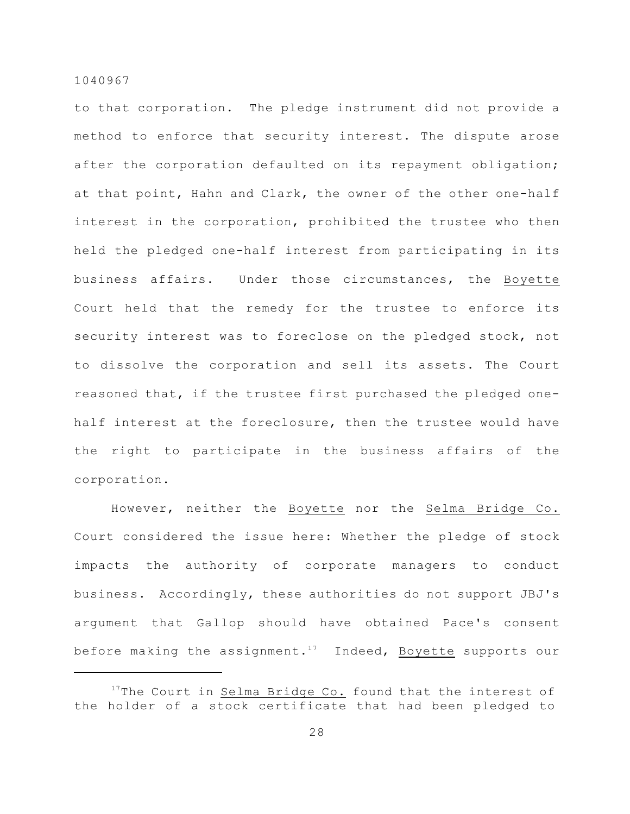to that corporation. The pledge instrument did not provide a method to enforce that security interest. The dispute arose after the corporation defaulted on its repayment obligation; at that point, Hahn and Clark, the owner of the other one-half interest in the corporation, prohibited the trustee who then held the pledged one-half interest from participating in its business affairs. Under those circumstances, the Boyette Court held that the remedy for the trustee to enforce its security interest was to foreclose on the pledged stock, not to dissolve the corporation and sell its assets. The Court reasoned that, if the trustee first purchased the pledged onehalf interest at the foreclosure, then the trustee would have the right to participate in the business affairs of the corporation.

However, neither the Boyette nor the Selma Bridge Co. Court considered the issue here: Whether the pledge of stock impacts the authority of corporate managers to conduct business. Accordingly, these authorities do not support JBJ's argument that Gallop should have obtained Pace's consent before making the assignment.<sup>17</sup> Indeed, Boyette supports our

 $17$ The Court in Selma Bridge Co. found that the interest of the holder of a stock certificate that had been pledged to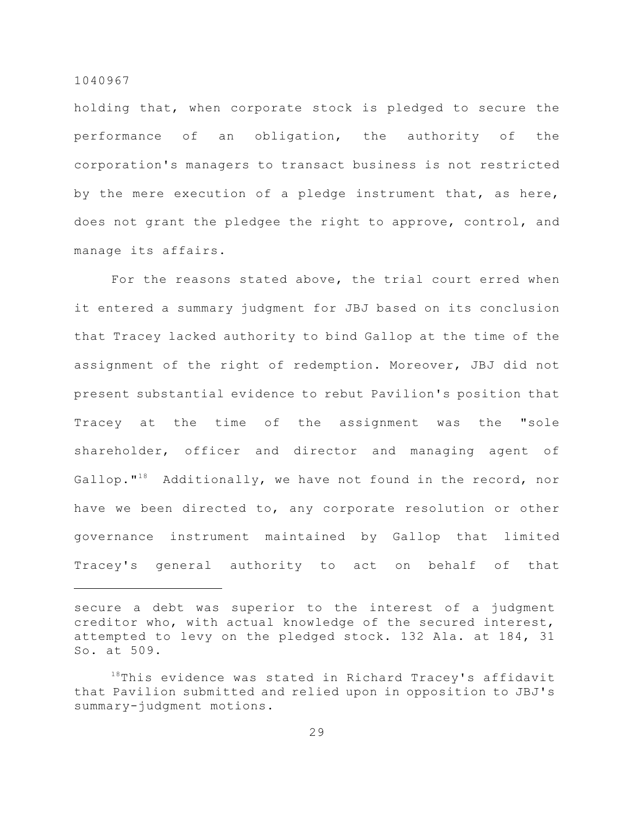holding that, when corporate stock is pledged to secure the performance of an obligation, the authority of the corporation's managers to transact business is not restricted by the mere execution of a pledge instrument that, as here, does not grant the pledgee the right to approve, control, and manage its affairs.

For the reasons stated above, the trial court erred when it entered a summary judgment for JBJ based on its conclusion that Tracey lacked authority to bind Gallop at the time of the assignment of the right of redemption. Moreover, JBJ did not present substantial evidence to rebut Pavilion's position that Tracey at the time of the assignment was the "sole shareholder, officer and director and managing agent of Gallop."<sup>18</sup> Additionally, we have not found in the record, nor have we been directed to, any corporate resolution or other governance instrument maintained by Gallop that limited Tracey's general authority to act on behalf of that

secure a debt was superior to the interest of a judgment creditor who, with actual knowledge of the secured interest, attempted to levy on the pledged stock. 132 Ala. at 184, 31 So. at 509.

 $18$ This evidence was stated in Richard Tracey's affidavit that Pavilion submitted and relied upon in opposition to JBJ's summary-judgment motions.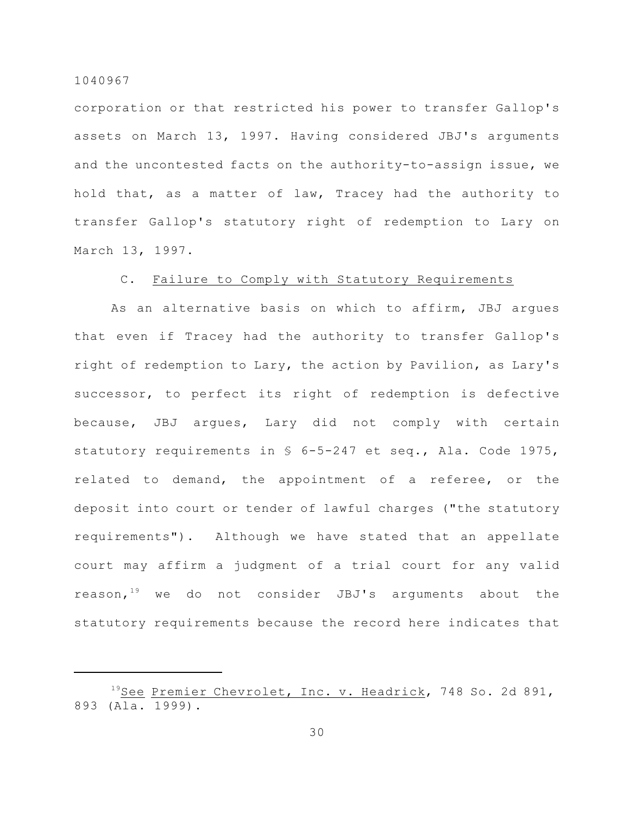corporation or that restricted his power to transfer Gallop's assets on March 13, 1997. Having considered JBJ's arguments and the uncontested facts on the authority-to-assign issue, we hold that, as a matter of law, Tracey had the authority to transfer Gallop's statutory right of redemption to Lary on March 13, 1997.

# C. Failure to Comply with Statutory Requirements

As an alternative basis on which to affirm, JBJ argues that even if Tracey had the authority to transfer Gallop's right of redemption to Lary, the action by Pavilion, as Lary's successor, to perfect its right of redemption is defective because, JBJ argues, Lary did not comply with certain statutory requirements in § 6-5-247 et seq., Ala. Code 1975, related to demand, the appointment of a referee, or the deposit into court or tender of lawful charges ("the statutory requirements"). Although we have stated that an appellate court may affirm a judgment of a trial court for any valid reason.<sup>19</sup> we do not consider JBJ's arguments about the statutory requirements because the record here indicates that

<sup>&</sup>lt;sup>19</sup>See Premier Chevrolet, Inc. v. Headrick, 748 So. 2d 891, 893 (Ala. 1999).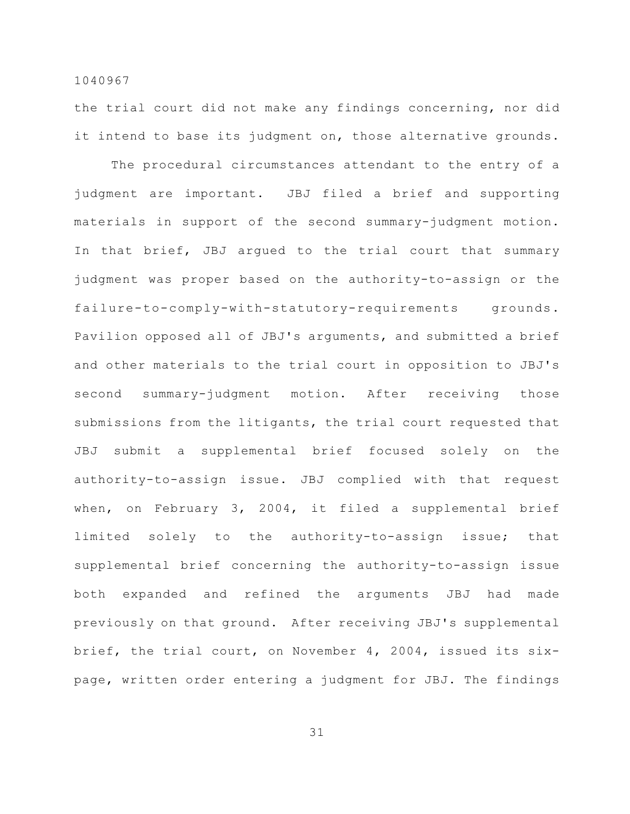the trial court did not make any findings concerning, nor did it intend to base its judgment on, those alternative grounds.

The procedural circumstances attendant to the entry of a judgment are important. JBJ filed a brief and supporting materials in support of the second summary-judgment motion. In that brief, JBJ argued to the trial court that summary judgment was proper based on the authority-to-assign or the failure-to-comply-with-statutory-requirements grounds. Pavilion opposed all of JBJ's arguments, and submitted a brief and other materials to the trial court in opposition to JBJ's second summary-judgment motion. After receiving those submissions from the litigants, the trial court requested that JBJ submit a supplemental brief focused solely on the authority-to-assign issue. JBJ complied with that request when, on February 3, 2004, it filed a supplemental brief limited solely to the authority-to-assign issue; that supplemental brief concerning the authority-to-assign issue both expanded and refined the arguments JBJ had made previously on that ground. After receiving JBJ's supplemental brief, the trial court, on November 4, 2004, issued its sixpage, written order entering a judgment for JBJ. The findings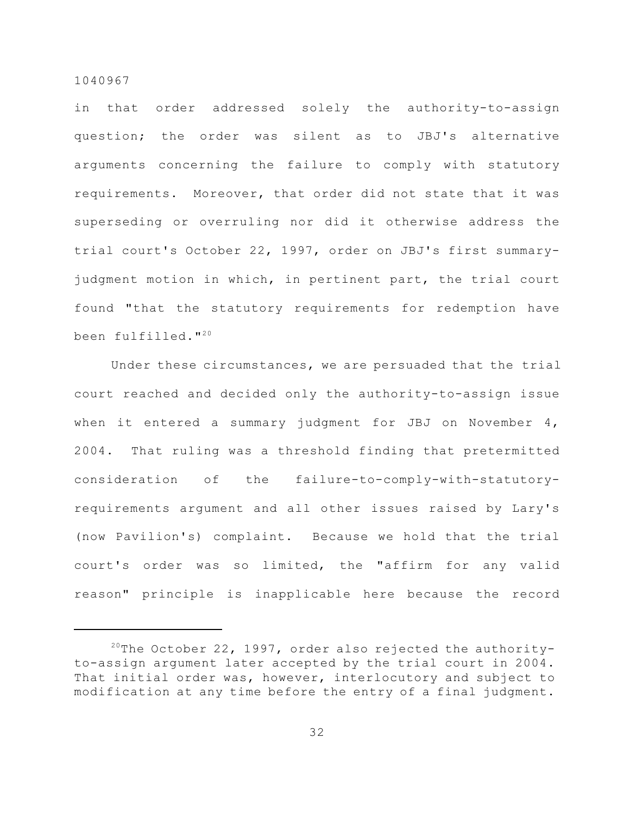in that order addressed solely the authority-to-assign question; the order was silent as to JBJ's alternative arguments concerning the failure to comply with statutory requirements. Moreover, that order did not state that it was superseding or overruling nor did it otherwise address the trial court's October 22, 1997, order on JBJ's first summaryjudgment motion in which, in pertinent part, the trial court found "that the statutory requirements for redemption have been fulfilled."<sup>20</sup>

Under these circumstances, we are persuaded that the trial court reached and decided only the authority-to-assign issue when it entered a summary judgment for JBJ on November 4, 2004. That ruling was a threshold finding that pretermitted consideration of the failure-to-comply-with-statutoryrequirements argument and all other issues raised by Lary's (now Pavilion's) complaint. Because we hold that the trial court's order was so limited, the "affirm for any valid reason" principle is inapplicable here because the record

 $20$ The October 22, 1997, order also rejected the authorityto-assign argument later accepted by the trial court in 2004. That initial order was, however, interlocutory and subject to modification at any time before the entry of a final judgment.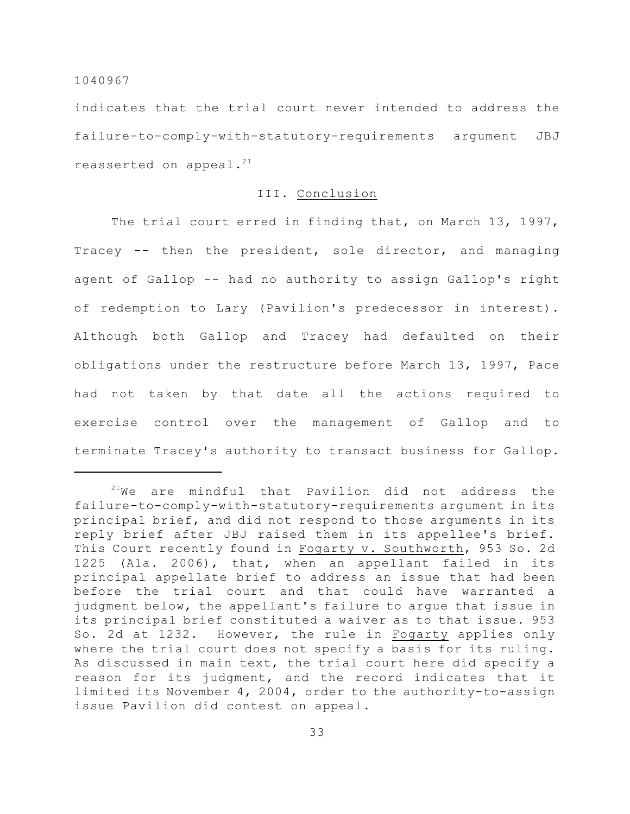indicates that the trial court never intended to address the failure-to-comply-with-statutory-requirements argument JBJ reasserted on appeal.<sup>21</sup>

# III. Conclusion

The trial court erred in finding that, on March 13, 1997, Tracey -- then the president, sole director, and managing agent of Gallop -- had no authority to assign Gallop's right of redemption to Lary (Pavilion's predecessor in interest). Although both Gallop and Tracey had defaulted on their obligations under the restructure before March 13, 1997, Pace had not taken by that date all the actions required to exercise control over the management of Gallop and to terminate Tracey's authority to transact business for Gallop.

 $21$ We are mindful that Pavilion did not address the failure-to-comply-with-statutory-requirements argument in its principal brief, and did not respond to those arguments in its reply brief after JBJ raised them in its appellee's brief. This Court recently found in Fogarty v. Southworth, 953 So. 2d 1225 (Ala. 2006), that, when an appellant failed in its principal appellate brief to address an issue that had been before the trial court and that could have warranted a judgment below, the appellant's failure to argue that issue in its principal brief constituted a waiver as to that issue. 953 So. 2d at 1232. However, the rule in Fogarty applies only where the trial court does not specify a basis for its ruling. As discussed in main text, the trial court here did specify a reason for its judgment, and the record indicates that it limited its November 4, 2004, order to the authority-to-assign issue Pavilion did contest on appeal.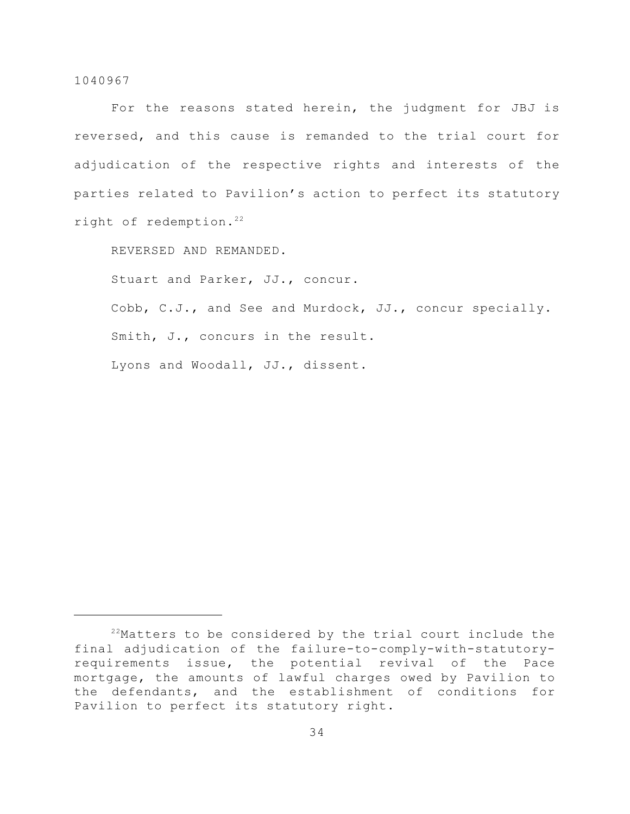For the reasons stated herein, the judgment for JBJ is reversed, and this cause is remanded to the trial court for adjudication of the respective rights and interests of the parties related to Pavilion's action to perfect its statutory right of redemption.<sup>22</sup>

REVERSED AND REMANDED.

Stuart and Parker, JJ., concur.

Cobb, C.J., and See and Murdock, JJ., concur specially. Smith, J., concurs in the result. Lyons and Woodall, JJ., dissent.

 $22$ Matters to be considered by the trial court include the final adjudication of the failure-to-comply-with-statutoryrequirements issue, the potential revival of the Pace mortgage, the amounts of lawful charges owed by Pavilion to the defendants, and the establishment of conditions for Pavilion to perfect its statutory right.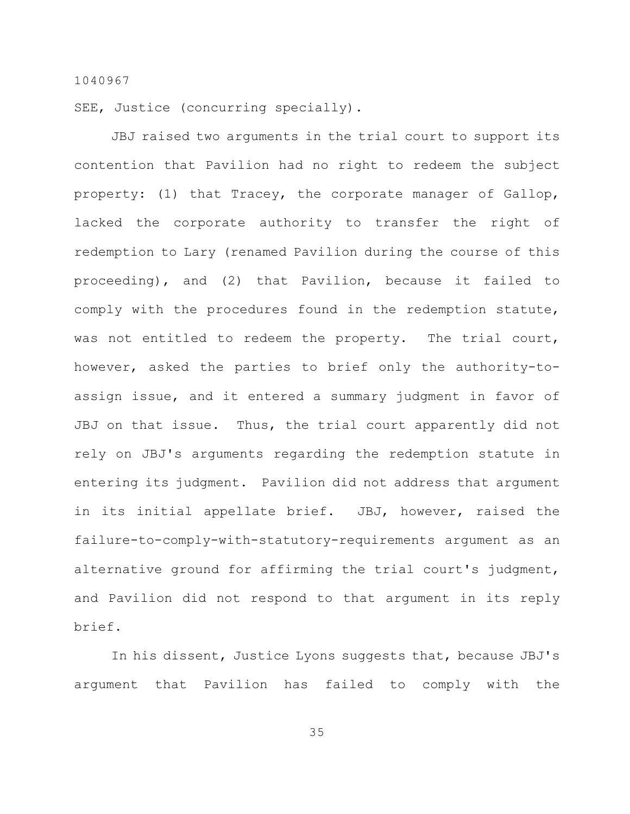SEE, Justice (concurring specially).

JBJ raised two arguments in the trial court to support its contention that Pavilion had no right to redeem the subject property: (1) that Tracey, the corporate manager of Gallop, lacked the corporate authority to transfer the right of redemption to Lary (renamed Pavilion during the course of this proceeding), and (2) that Pavilion, because it failed to comply with the procedures found in the redemption statute, was not entitled to redeem the property. The trial court, however, asked the parties to brief only the authority-toassign issue, and it entered a summary judgment in favor of JBJ on that issue. Thus, the trial court apparently did not rely on JBJ's arguments regarding the redemption statute in entering its judgment. Pavilion did not address that argument in its initial appellate brief. JBJ, however, raised the failure-to-comply-with-statutory-requirements argument as an alternative ground for affirming the trial court's judgment, and Pavilion did not respond to that argument in its reply brief.

In his dissent, Justice Lyons suggests that, because JBJ's argument that Pavilion has failed to comply with the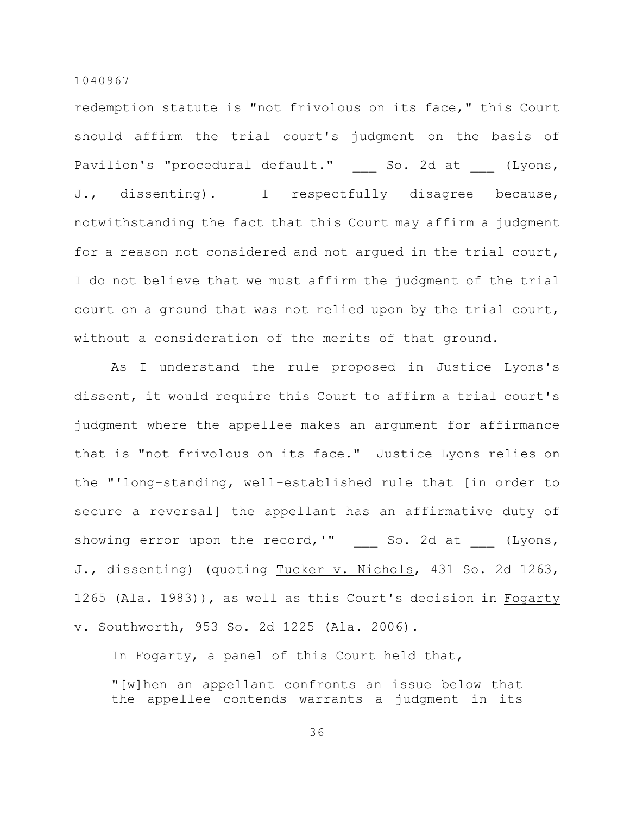redemption statute is "not frivolous on its face," this Court should affirm the trial court's judgment on the basis of Pavilion's "procedural default." So. 2d at (Lyons, J., dissenting). I respectfully disagree because, notwithstanding the fact that this Court may affirm a judgment for a reason not considered and not argued in the trial court, I do not believe that we must affirm the judgment of the trial court on a ground that was not relied upon by the trial court, without a consideration of the merits of that ground.

As I understand the rule proposed in Justice Lyons's dissent, it would require this Court to affirm a trial court's judgment where the appellee makes an argument for affirmance that is "not frivolous on its face." Justice Lyons relies on the "'long-standing, well-established rule that [in order to secure a reversal] the appellant has an affirmative duty of showing error upon the record,'"  $\qquad \qquad \qquad \text{So. 2d at} \qquad \text{(Lyons,}$ J., dissenting) (quoting Tucker v. Nichols, 431 So. 2d 1263, 1265 (Ala. 1983)), as well as this Court's decision in Fogarty v. Southworth, 953 So. 2d 1225 (Ala. 2006).

In Fogarty, a panel of this Court held that,

"[w]hen an appellant confronts an issue below that the appellee contends warrants a judgment in its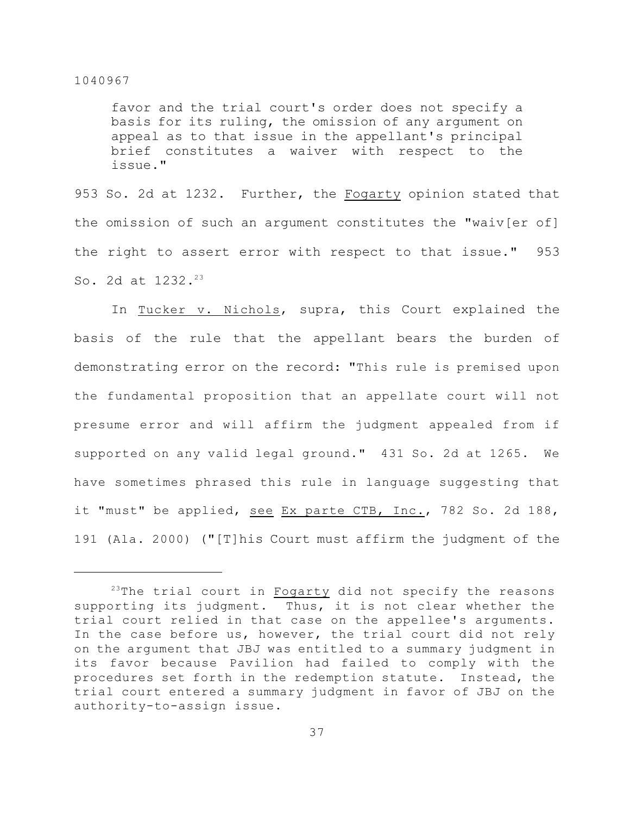favor and the trial court's order does not specify a basis for its ruling, the omission of any argument on appeal as to that issue in the appellant's principal brief constitutes a waiver with respect to the issue."

953 So. 2d at 1232. Further, the Fogarty opinion stated that the omission of such an argument constitutes the "waiv[er of] the right to assert error with respect to that issue." 953 So. 2d at 1232.<sup>23</sup>

In Tucker v. Nichols, supra, this Court explained the basis of the rule that the appellant bears the burden of demonstrating error on the record: "This rule is premised upon the fundamental proposition that an appellate court will not presume error and will affirm the judgment appealed from if supported on any valid legal ground." 431 So. 2d at 1265. We have sometimes phrased this rule in language suggesting that it "must" be applied, see Ex parte CTB, Inc., 782 So. 2d 188, 191 (Ala. 2000) ("[T]his Court must affirm the judgment of the

 $23$ The trial court in Fogarty did not specify the reasons supporting its judgment. Thus, it is not clear whether the trial court relied in that case on the appellee's arguments. In the case before us, however, the trial court did not rely on the argument that JBJ was entitled to a summary judgment in its favor because Pavilion had failed to comply with the procedures set forth in the redemption statute. Instead, the trial court entered a summary judgment in favor of JBJ on the authority-to-assign issue.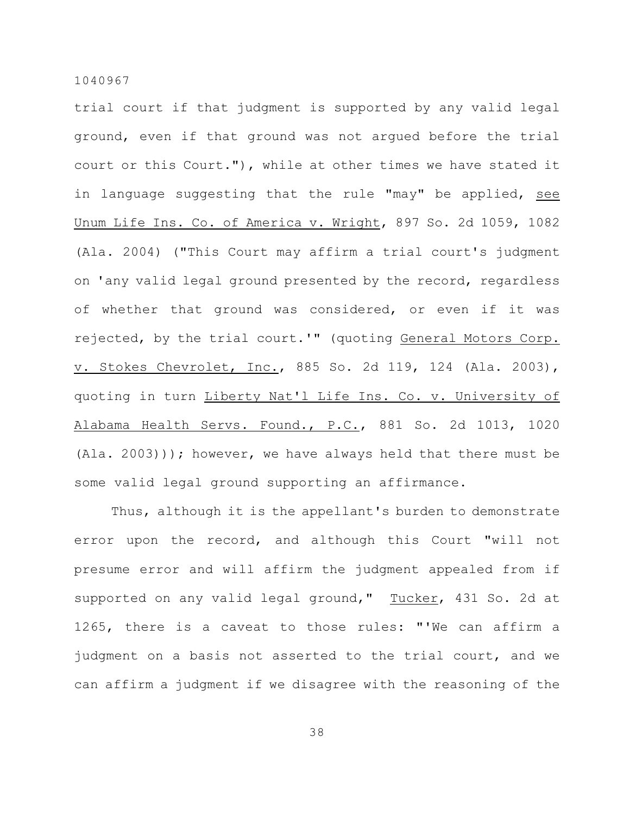trial court if that judgment is supported by any valid legal ground, even if that ground was not argued before the trial court or this Court."), while at other times we have stated it in language suggesting that the rule "may" be applied, see Unum Life Ins. Co. of America v. Wright, 897 So. 2d 1059, 1082 (Ala. 2004) ("This Court may affirm a trial court's judgment on 'any valid legal ground presented by the record, regardless of whether that ground was considered, or even if it was rejected, by the trial court.'" (quoting General Motors Corp. v. Stokes Chevrolet, Inc., 885 So. 2d 119, 124 (Ala. 2003), quoting in turn Liberty Nat'l Life Ins. Co. v. University of Alabama Health Servs. Found., P.C., 881 So. 2d 1013, 1020 (Ala. 2003))); however, we have always held that there must be some valid legal ground supporting an affirmance.

Thus, although it is the appellant's burden to demonstrate error upon the record, and although this Court "will not presume error and will affirm the judgment appealed from if supported on any valid legal ground," Tucker, 431 So. 2d at 1265, there is a caveat to those rules: "'We can affirm a judgment on a basis not asserted to the trial court, and we can affirm a judgment if we disagree with the reasoning of the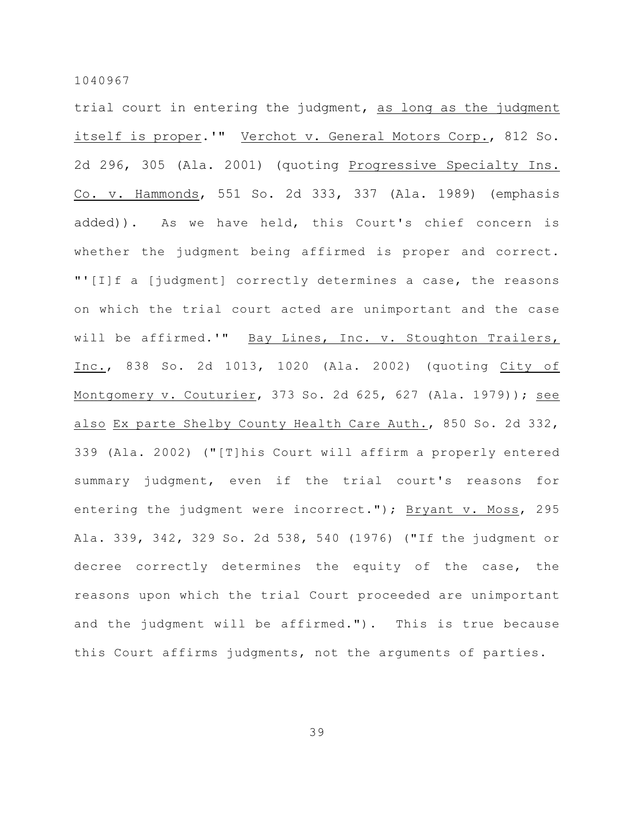trial court in entering the judgment, as long as the judgment itself is proper.'" Verchot v. General Motors Corp., 812 So. 2d 296, 305 (Ala. 2001) (quoting Progressive Specialty Ins. Co. v. Hammonds, 551 So. 2d 333, 337 (Ala. 1989) (emphasis added)). As we have held, this Court's chief concern is whether the judgment being affirmed is proper and correct. "'[I]f a [judgment] correctly determines a case, the reasons on which the trial court acted are unimportant and the case will be affirmed.'" Bay Lines, Inc. v. Stoughton Trailers, Inc., 838 So. 2d 1013, 1020 (Ala. 2002) (quoting City of Montgomery v. Couturier, 373 So. 2d 625, 627 (Ala. 1979)); see also Ex parte Shelby County Health Care Auth., 850 So. 2d 332, 339 (Ala. 2002) ("[T]his Court will affirm a properly entered summary judgment, even if the trial court's reasons for entering the judgment were incorrect."); Bryant v. Moss, 295 Ala. 339, 342, 329 So. 2d 538, 540 (1976) ("If the judgment or decree correctly determines the equity of the case, the reasons upon which the trial Court proceeded are unimportant and the judgment will be affirmed."). This is true because this Court affirms judgments, not the arguments of parties.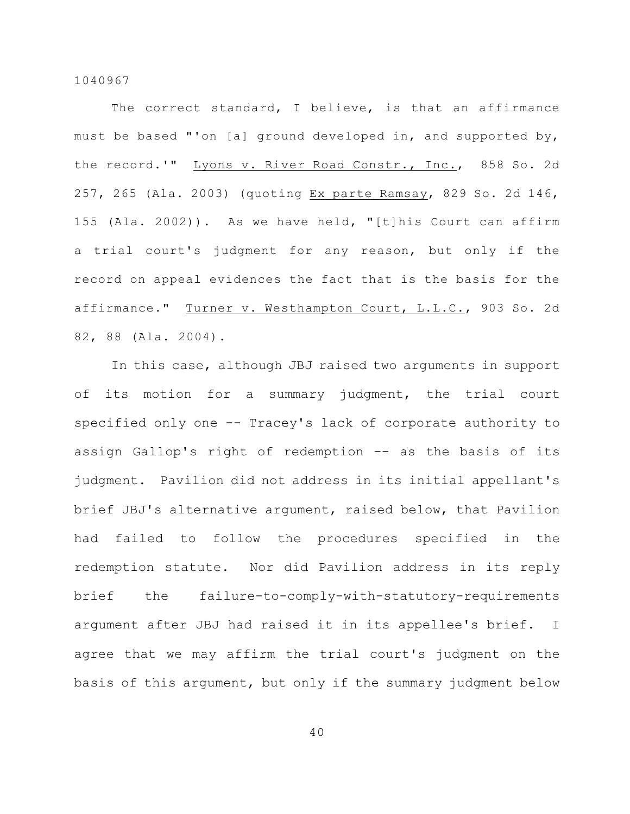The correct standard, I believe, is that an affirmance must be based "'on [a] ground developed in, and supported by, the record.'" Lyons v. River Road Constr., Inc., 858 So. 2d 257, 265 (Ala. 2003) (quoting Ex parte Ramsay, 829 So. 2d 146, 155 (Ala. 2002)). As we have held, "[t]his Court can affirm a trial court's judgment for any reason, but only if the record on appeal evidences the fact that is the basis for the affirmance." Turner v. Westhampton Court, L.L.C., 903 So. 2d 82, 88 (Ala. 2004).

In this case, although JBJ raised two arguments in support of its motion for a summary judgment, the trial court specified only one -- Tracey's lack of corporate authority to assign Gallop's right of redemption -- as the basis of its judgment. Pavilion did not address in its initial appellant's brief JBJ's alternative argument, raised below, that Pavilion had failed to follow the procedures specified in the redemption statute. Nor did Pavilion address in its reply brief the failure-to-comply-with-statutory-requirements argument after JBJ had raised it in its appellee's brief. I agree that we may affirm the trial court's judgment on the basis of this argument, but only if the summary judgment below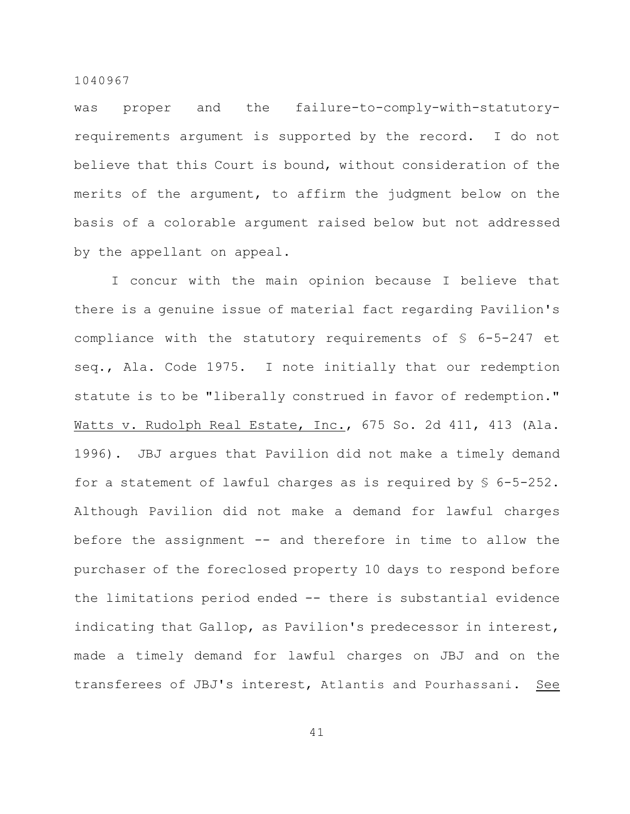was proper and the failure-to-comply-with-statutoryrequirements argument is supported by the record. I do not believe that this Court is bound, without consideration of the merits of the argument, to affirm the judgment below on the basis of a colorable argument raised below but not addressed by the appellant on appeal.

I concur with the main opinion because I believe that there is a genuine issue of material fact regarding Pavilion's compliance with the statutory requirements of § 6-5-247 et seq., Ala. Code 1975. I note initially that our redemption statute is to be "liberally construed in favor of redemption." Watts v. Rudolph Real Estate, Inc., 675 So. 2d 411, 413 (Ala. 1996). JBJ argues that Pavilion did not make a timely demand for a statement of lawful charges as is required by § 6-5-252. Although Pavilion did not make a demand for lawful charges before the assignment -- and therefore in time to allow the purchaser of the foreclosed property 10 days to respond before the limitations period ended -- there is substantial evidence indicating that Gallop, as Pavilion's predecessor in interest, made a timely demand for lawful charges on JBJ and on the transferees of JBJ's interest, Atlantis and Pourhassani. See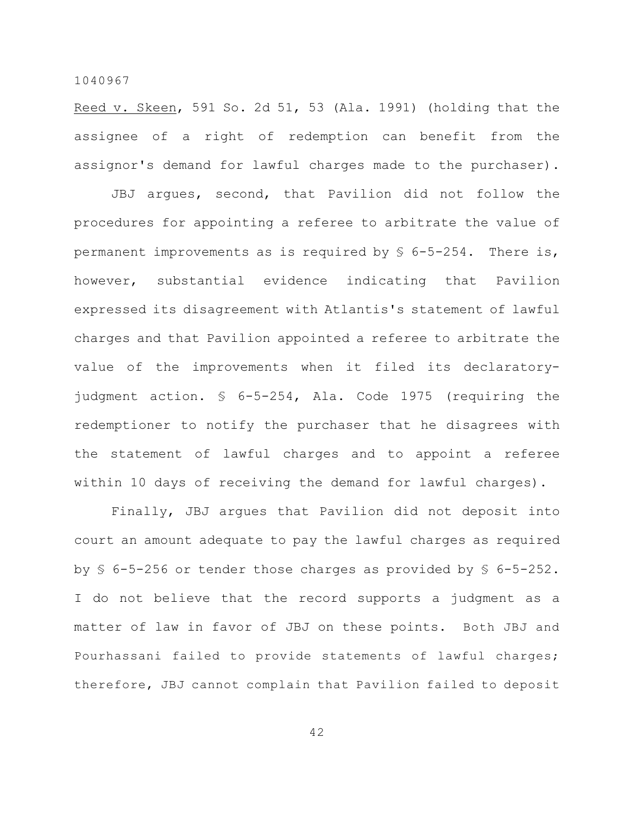Reed v. Skeen, 591 So. 2d 51, 53 (Ala. 1991) (holding that the assignee of a right of redemption can benefit from the assignor's demand for lawful charges made to the purchaser).

JBJ argues, second, that Pavilion did not follow the procedures for appointing a referee to arbitrate the value of permanent improvements as is required by  $\frac{1}{5}$  6-5-254. There is, however, substantial evidence indicating that Pavilion expressed its disagreement with Atlantis's statement of lawful charges and that Pavilion appointed a referee to arbitrate the value of the improvements when it filed its declaratoryjudgment action. § 6-5-254, Ala. Code 1975 (requiring the redemptioner to notify the purchaser that he disagrees with the statement of lawful charges and to appoint a referee within 10 days of receiving the demand for lawful charges).

Finally, JBJ argues that Pavilion did not deposit into court an amount adequate to pay the lawful charges as required by § 6-5-256 or tender those charges as provided by § 6-5-252. I do not believe that the record supports a judgment as a matter of law in favor of JBJ on these points. Both JBJ and Pourhassani failed to provide statements of lawful charges; therefore, JBJ cannot complain that Pavilion failed to deposit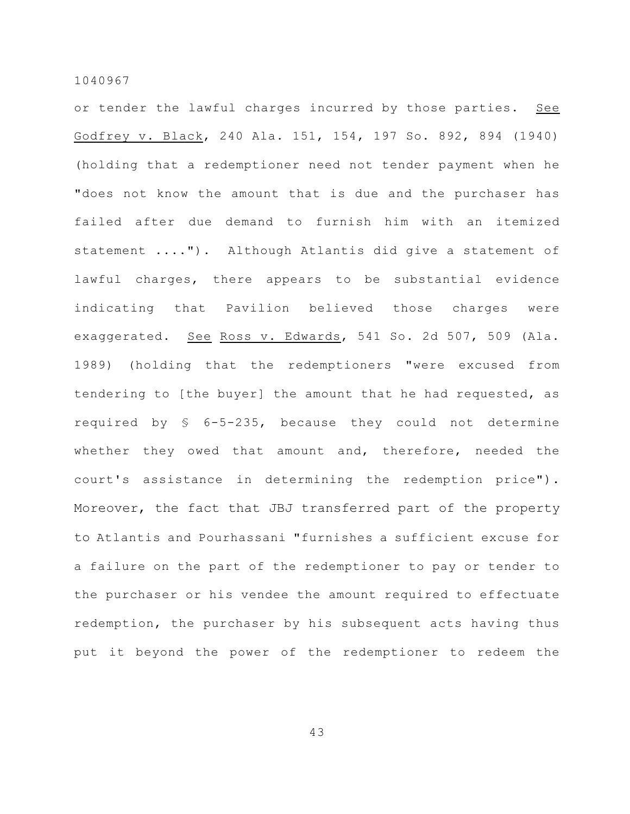or tender the lawful charges incurred by those parties. See Godfrey v. Black, 240 Ala. 151, 154, 197 So. 892, 894 (1940) (holding that a redemptioner need not tender payment when he "does not know the amount that is due and the purchaser has failed after due demand to furnish him with an itemized statement ...."). Although Atlantis did give a statement of lawful charges, there appears to be substantial evidence indicating that Pavilion believed those charges were exaggerated. See Ross v. Edwards, 541 So. 2d 507, 509 (Ala. 1989) (holding that the redemptioners "were excused from tendering to [the buyer] the amount that he had requested, as required by § 6-5-235, because they could not determine whether they owed that amount and, therefore, needed the court's assistance in determining the redemption price"). Moreover, the fact that JBJ transferred part of the property to Atlantis and Pourhassani "furnishes a sufficient excuse for a failure on the part of the redemptioner to pay or tender to the purchaser or his vendee the amount required to effectuate redemption, the purchaser by his subsequent acts having thus put it beyond the power of the redemptioner to redeem the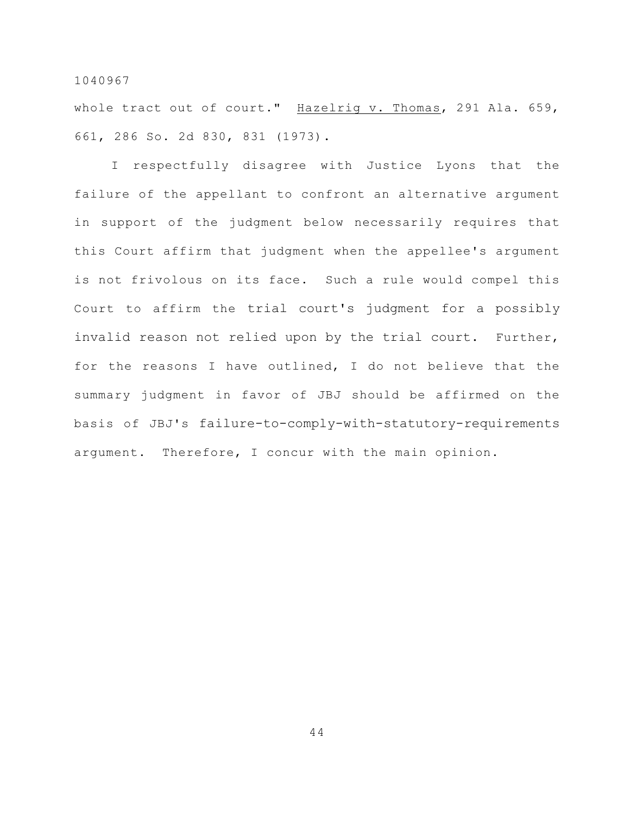whole tract out of court." Hazelrig v. Thomas, 291 Ala. 659, 661, 286 So. 2d 830, 831 (1973).

I respectfully disagree with Justice Lyons that the failure of the appellant to confront an alternative argument in support of the judgment below necessarily requires that this Court affirm that judgment when the appellee's argument is not frivolous on its face. Such a rule would compel this Court to affirm the trial court's judgment for a possibly invalid reason not relied upon by the trial court. Further, for the reasons I have outlined, I do not believe that the summary judgment in favor of JBJ should be affirmed on the basis of JBJ's failure-to-comply-with-statutory-requirements argument. Therefore, I concur with the main opinion.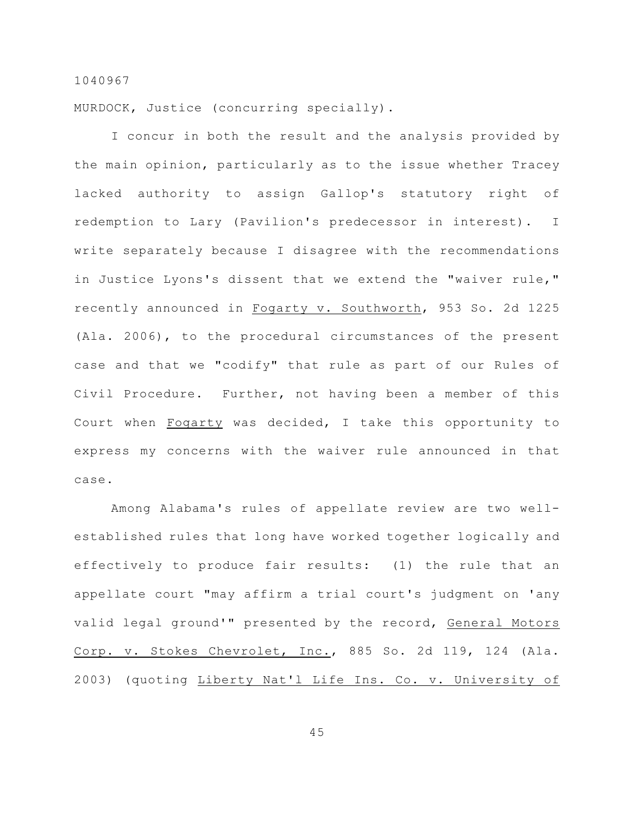MURDOCK, Justice (concurring specially).

I concur in both the result and the analysis provided by the main opinion, particularly as to the issue whether Tracey lacked authority to assign Gallop's statutory right of redemption to Lary (Pavilion's predecessor in interest). I write separately because I disagree with the recommendations in Justice Lyons's dissent that we extend the "waiver rule," recently announced in Fogarty v. Southworth, 953 So. 2d 1225 (Ala. 2006), to the procedural circumstances of the present case and that we "codify" that rule as part of our Rules of Civil Procedure. Further, not having been a member of this Court when Fogarty was decided, I take this opportunity to express my concerns with the waiver rule announced in that case.

Among Alabama's rules of appellate review are two wellestablished rules that long have worked together logically and effectively to produce fair results: (1) the rule that an appellate court "may affirm a trial court's judgment on 'any valid legal ground'" presented by the record, General Motors Corp. v. Stokes Chevrolet, Inc., 885 So. 2d 119, 124 (Ala. 2003) (quoting Liberty Nat'l Life Ins. Co. v. University of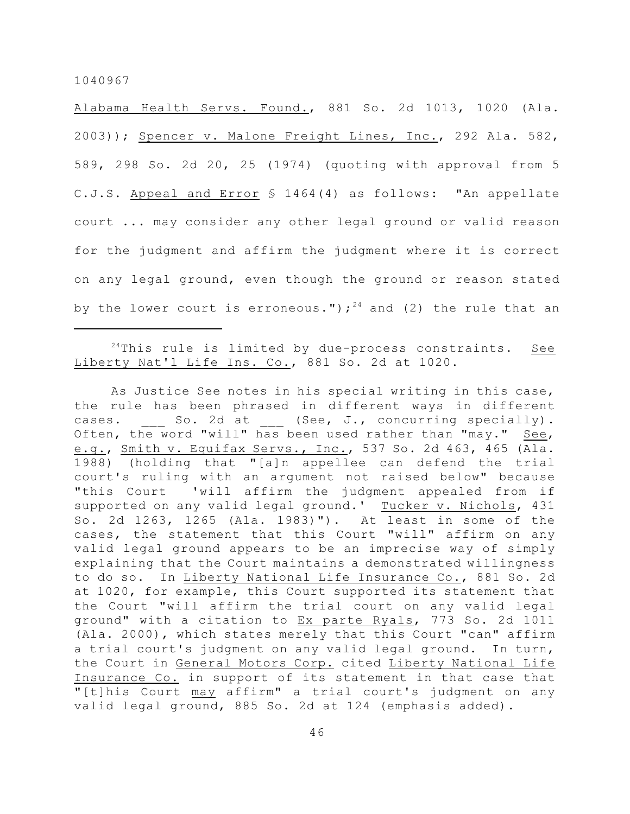Alabama Health Servs. Found., 881 So. 2d 1013, 1020 (Ala. 2003)); Spencer v. Malone Freight Lines, Inc., 292 Ala. 582, 589, 298 So. 2d 20, 25 (1974) (quoting with approval from 5 C.J.S. Appeal and Error § 1464(4) as follows: "An appellate court ... may consider any other legal ground or valid reason for the judgment and affirm the judgment where it is correct on any legal ground, even though the ground or reason stated by the lower court is erroneous.");  $24$  and (2) the rule that an

 $24$ This rule is limited by due-process constraints. See Liberty Nat'l Life Ins. Co., 881 So. 2d at 1020.

As Justice See notes in his special writing in this case, the rule has been phrased in different ways in different cases. So. 2d at (See, J., concurring specially). Often, the word "will" has been used rather than "may." See, e.g., Smith v. Equifax Servs., Inc., 537 So. 2d 463, 465 (Ala. 1988) (holding that "[a]n appellee can defend the trial court's ruling with an argument not raised below" because "this Court 'will affirm the judgment appealed from if supported on any valid legal ground.' Tucker v. Nichols, 431 So. 2d 1263, 1265 (Ala. 1983)"). At least in some of the cases, the statement that this Court "will" affirm on any valid legal ground appears to be an imprecise way of simply explaining that the Court maintains a demonstrated willingness to do so. In Liberty National Life Insurance Co., 881 So. 2d at 1020, for example, this Court supported its statement that the Court "will affirm the trial court on any valid legal ground" with a citation to Ex parte Ryals, 773 So. 2d 1011 (Ala. 2000), which states merely that this Court "can" affirm a trial court's judgment on any valid legal ground. In turn, the Court in General Motors Corp. cited Liberty National Life Insurance Co. in support of its statement in that case that "[t]his Court may affirm" a trial court's judgment on any valid legal ground, 885 So. 2d at 124 (emphasis added).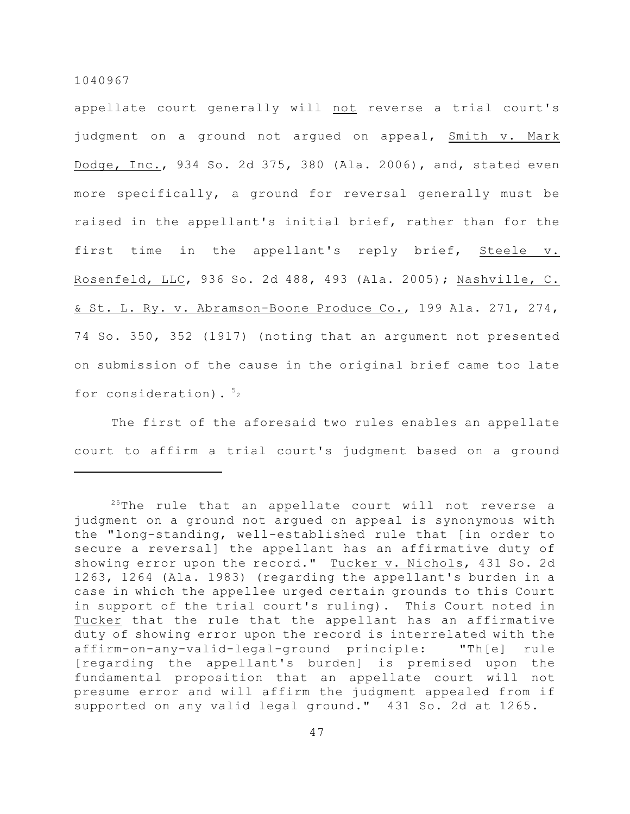appellate court generally will not reverse a trial court's judgment on a ground not argued on appeal, Smith v. Mark Dodge, Inc., 934 So. 2d 375, 380 (Ala. 2006), and, stated even more specifically, a ground for reversal generally must be raised in the appellant's initial brief, rather than for the first time in the appellant's reply brief, Steele v. Rosenfeld, LLC, 936 So. 2d 488, 493 (Ala. 2005); Nashville, C. & St. L. Ry. v. Abramson-Boone Produce Co., 199 Ala. 271, 274, 74 So. 350, 352 (1917) (noting that an argument not presented on submission of the cause in the original brief came too late for consideration).  $5<sub>2</sub>$ 

The first of the aforesaid two rules enables an appellate court to affirm a trial court's judgment based on a ground

 $25$ The rule that an appellate court will not reverse a judgment on a ground not argued on appeal is synonymous with the "long-standing, well-established rule that [in order to secure a reversal] the appellant has an affirmative duty of showing error upon the record." Tucker v. Nichols, 431 So. 2d 1263, 1264 (Ala. 1983) (regarding the appellant's burden in a case in which the appellee urged certain grounds to this Court in support of the trial court's ruling). This Court noted in Tucker that the rule that the appellant has an affirmative duty of showing error upon the record is interrelated with the affirm-on-any-valid-legal-ground principle: "Th[e] rule [regarding the appellant's burden] is premised upon the fundamental proposition that an appellate court will not presume error and will affirm the judgment appealed from if supported on any valid legal ground." 431 So. 2d at 1265.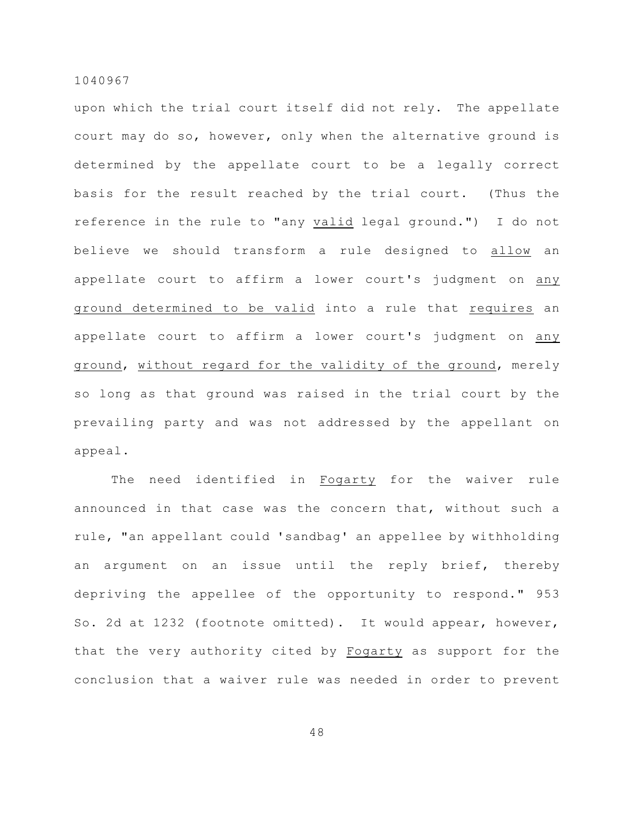upon which the trial court itself did not rely. The appellate court may do so, however, only when the alternative ground is determined by the appellate court to be a legally correct basis for the result reached by the trial court. (Thus the reference in the rule to "any valid legal ground.") I do not believe we should transform a rule designed to allow an appellate court to affirm a lower court's judgment on any ground determined to be valid into a rule that requires an appellate court to affirm a lower court's judgment on any ground, without regard for the validity of the ground, merely so long as that ground was raised in the trial court by the prevailing party and was not addressed by the appellant on appeal.

The need identified in Fogarty for the waiver rule announced in that case was the concern that, without such a rule, "an appellant could 'sandbag' an appellee by withholding an argument on an issue until the reply brief, thereby depriving the appellee of the opportunity to respond." 953 So. 2d at 1232 (footnote omitted). It would appear, however, that the very authority cited by Fogarty as support for the conclusion that a waiver rule was needed in order to prevent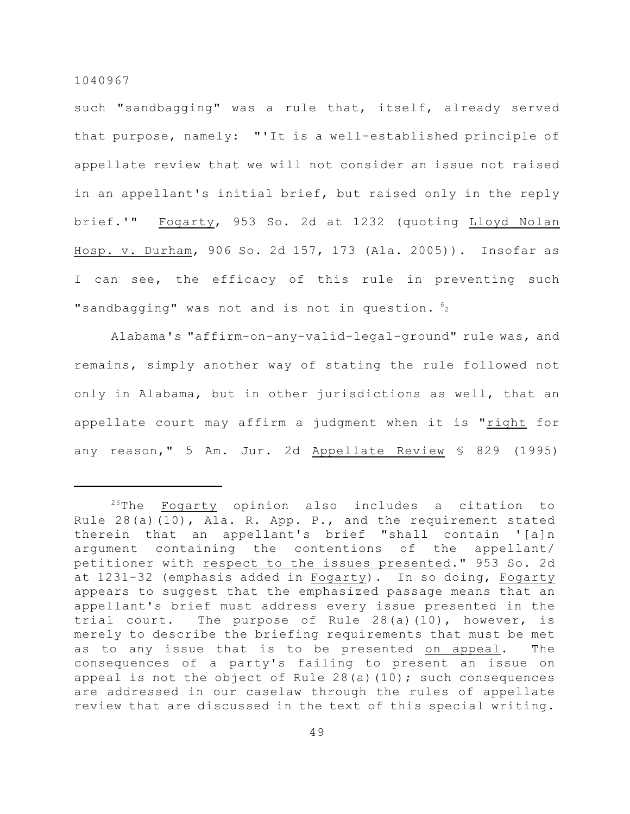such "sandbagging" was a rule that, itself, already served that purpose, namely: "'It is a well-established principle of appellate review that we will not consider an issue not raised in an appellant's initial brief, but raised only in the reply brief.'" Fogarty, 953 So. 2d at 1232 (quoting Lloyd Nolan Hosp. v. Durham, 906 So. 2d 157, 173 (Ala. 2005)). Insofar as I can see, the efficacy of this rule in preventing such "sandbagging" was not and is not in question.  $62$ 

Alabama's "affirm-on-any-valid-legal-ground" rule was, and remains, simply another way of stating the rule followed not only in Alabama, but in other jurisdictions as well, that an appellate court may affirm a judgment when it is "right for any reason," 5 Am. Jur. 2d Appellate Review § 829 (1995)

 $2^{26}$ The Fogarty opinion also includes a citation to Rule 28(a)(10), Ala. R. App. P., and the requirement stated therein that an appellant's brief "shall contain '[a]n argument containing the contentions of the appellant/ petitioner with respect to the issues presented." 953 So. 2d at 1231-32 (emphasis added in Fogarty). In so doing, Fogarty appears to suggest that the emphasized passage means that an appellant's brief must address every issue presented in the trial court. The purpose of Rule 28(a)(10), however, is merely to describe the briefing requirements that must be met as to any issue that is to be presented on appeal. The consequences of a party's failing to present an issue on appeal is not the object of Rule  $28(a)(10)$ ; such consequences are addressed in our caselaw through the rules of appellate review that are discussed in the text of this special writing.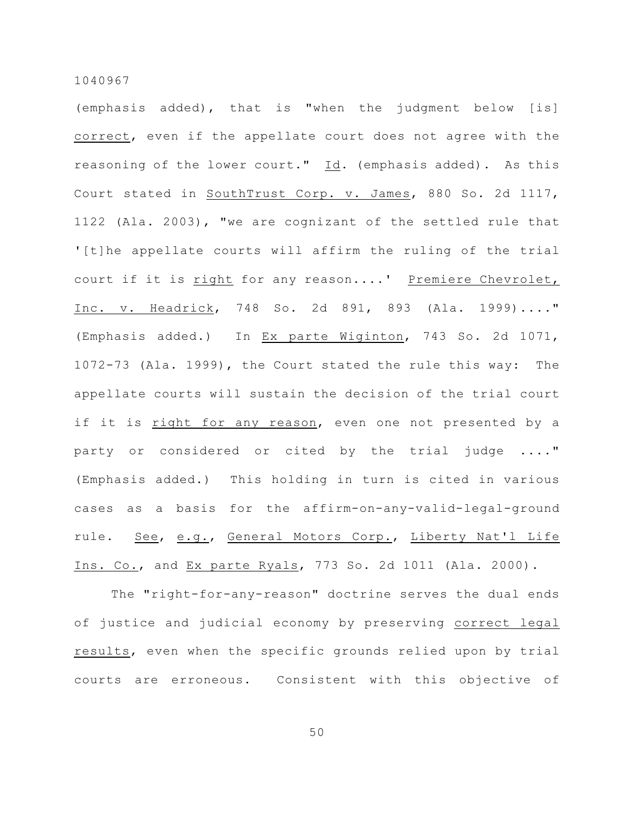(emphasis added), that is "when the judgment below [is] correct, even if the appellate court does not agree with the reasoning of the lower court." Id. (emphasis added). As this Court stated in SouthTrust Corp. v. James, 880 So. 2d 1117, 1122 (Ala. 2003), "we are cognizant of the settled rule that '[t]he appellate courts will affirm the ruling of the trial court if it is right for any reason....' Premiere Chevrolet, Inc. v. Headrick, 748 So. 2d 891, 893 (Ala. 1999)...." (Emphasis added.) In Ex parte Wiginton, 743 So. 2d 1071, 1072-73 (Ala. 1999), the Court stated the rule this way: The appellate courts will sustain the decision of the trial court if it is right for any reason, even one not presented by a party or considered or cited by the trial judge ...." (Emphasis added.) This holding in turn is cited in various cases as a basis for the affirm-on-any-valid-legal-ground rule. See, e.g., General Motors Corp., Liberty Nat'l Life Ins. Co., and Ex parte Ryals, 773 So. 2d 1011 (Ala. 2000).

The "right-for-any-reason" doctrine serves the dual ends of justice and judicial economy by preserving correct legal results, even when the specific grounds relied upon by trial courts are erroneous. Consistent with this objective of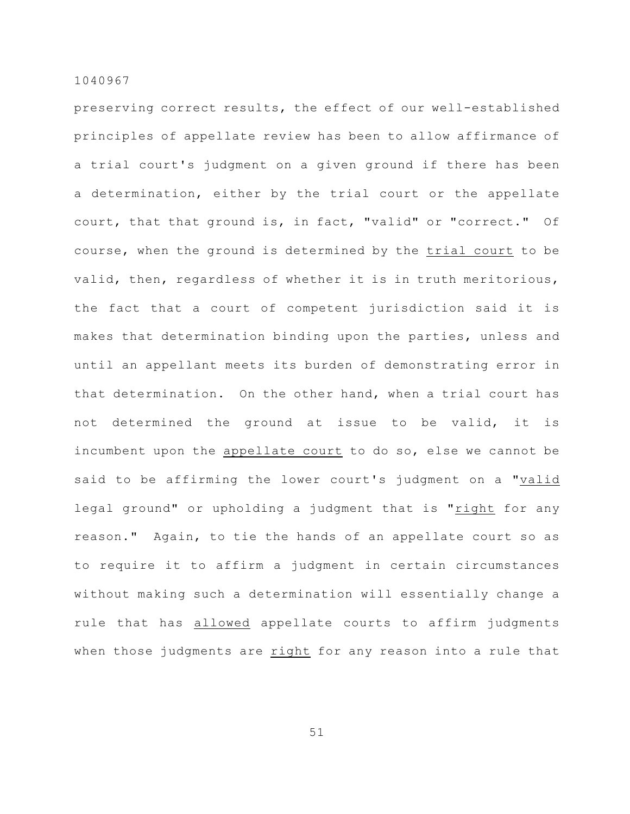preserving correct results, the effect of our well-established principles of appellate review has been to allow affirmance of a trial court's judgment on a given ground if there has been a determination, either by the trial court or the appellate court, that that ground is, in fact, "valid" or "correct." Of course, when the ground is determined by the trial court to be valid, then, regardless of whether it is in truth meritorious, the fact that a court of competent jurisdiction said it is makes that determination binding upon the parties, unless and until an appellant meets its burden of demonstrating error in that determination. On the other hand, when a trial court has not determined the ground at issue to be valid, it is incumbent upon the appellate court to do so, else we cannot be said to be affirming the lower court's judgment on a "valid legal ground" or upholding a judgment that is "right for any reason." Again, to tie the hands of an appellate court so as to require it to affirm a judgment in certain circumstances without making such a determination will essentially change a rule that has allowed appellate courts to affirm judgments when those judgments are right for any reason into a rule that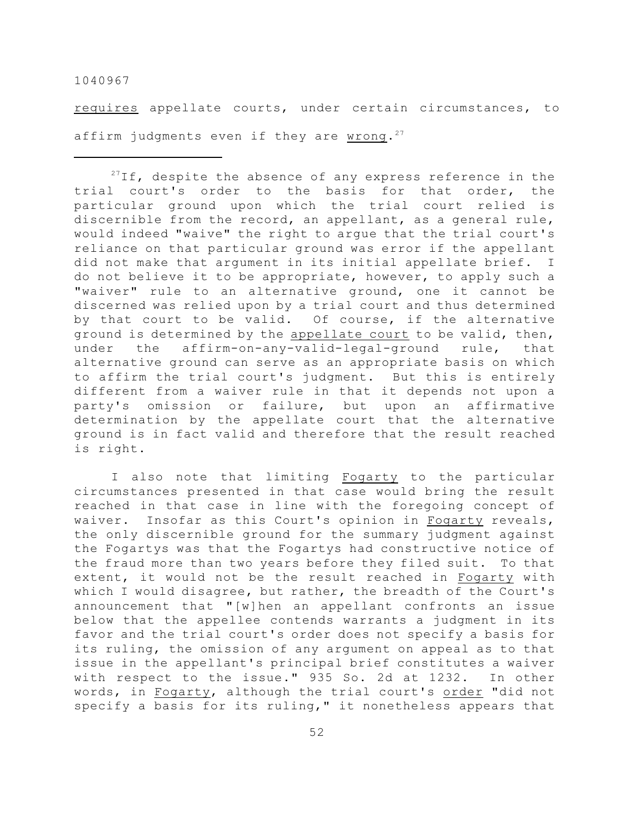requires appellate courts, under certain circumstances, to affirm judgments even if they are wrong.<sup>27</sup>

 $^{27}$ If, despite the absence of any express reference in the trial court's order to the basis for that order, the particular ground upon which the trial court relied is discernible from the record, an appellant, as a general rule, would indeed "waive" the right to argue that the trial court's reliance on that particular ground was error if the appellant did not make that argument in its initial appellate brief. I do not believe it to be appropriate, however, to apply such a "waiver" rule to an alternative ground, one it cannot be discerned was relied upon by a trial court and thus determined by that court to be valid. Of course, if the alternative ground is determined by the appellate court to be valid, then, under the affirm-on-any-valid-legal-ground rule, that alternative ground can serve as an appropriate basis on which to affirm the trial court's judgment. But this is entirely different from a waiver rule in that it depends not upon a party's omission or failure, but upon an affirmative determination by the appellate court that the alternative ground is in fact valid and therefore that the result reached is right.

I also note that limiting Fogarty to the particular circumstances presented in that case would bring the result reached in that case in line with the foregoing concept of waiver. Insofar as this Court's opinion in Fogarty reveals, the only discernible ground for the summary judgment against the Fogartys was that the Fogartys had constructive notice of the fraud more than two years before they filed suit. To that extent, it would not be the result reached in Fogarty with which I would disagree, but rather, the breadth of the Court's announcement that "[w]hen an appellant confronts an issue below that the appellee contends warrants a judgment in its favor and the trial court's order does not specify a basis for its ruling, the omission of any argument on appeal as to that issue in the appellant's principal brief constitutes a waiver with respect to the issue." 935 So. 2d at 1232. In other words, in Fogarty, although the trial court's order "did not specify a basis for its ruling," it nonetheless appears that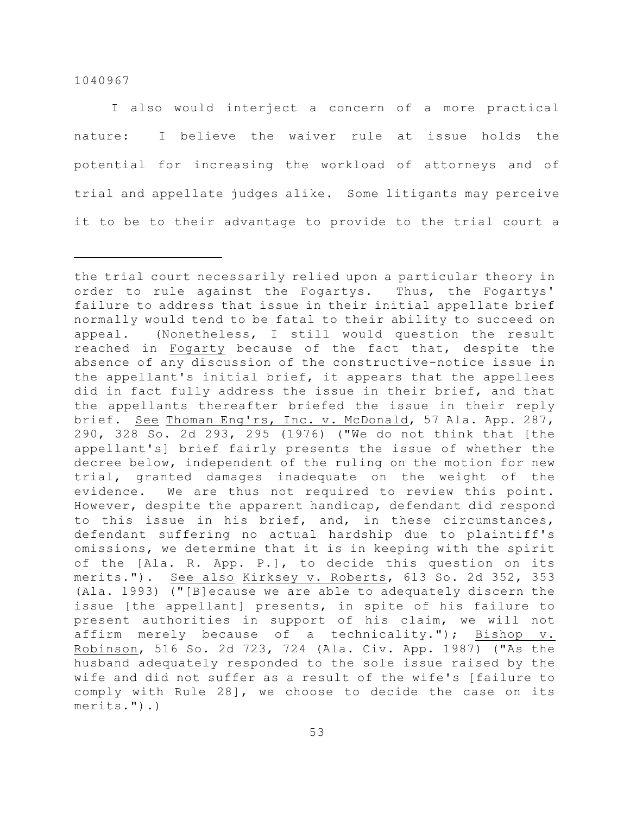I also would interject a concern of a more practical nature: I believe the waiver rule at issue holds the potential for increasing the workload of attorneys and of trial and appellate judges alike. Some litigants may perceive it to be to their advantage to provide to the trial court a

the trial court necessarily relied upon a particular theory in order to rule against the Fogartys. Thus, the Fogartys' failure to address that issue in their initial appellate brief normally would tend to be fatal to their ability to succeed on appeal. (Nonetheless, I still would question the result reached in Fogarty because of the fact that, despite the absence of any discussion of the constructive-notice issue in the appellant's initial brief, it appears that the appellees did in fact fully address the issue in their brief, and that the appellants thereafter briefed the issue in their reply brief. See Thoman Eng'rs, Inc. v. McDonald, 57 Ala. App. 287, 290, 328 So. 2d 293, 295 (1976) ("We do not think that [the appellant's] brief fairly presents the issue of whether the decree below, independent of the ruling on the motion for new trial, granted damages inadequate on the weight of the evidence. We are thus not required to review this point. However, despite the apparent handicap, defendant did respond to this issue in his brief, and, in these circumstances, defendant suffering no actual hardship due to plaintiff's omissions, we determine that it is in keeping with the spirit of the [Ala. R. App. P.], to decide this question on its merits."). See also Kirksey v. Roberts, 613 So. 2d 352, 353 (Ala. 1993) ("[B]ecause we are able to adequately discern the issue [the appellant] presents, in spite of his failure to present authorities in support of his claim, we will not affirm merely because of a technicality."); Bishop v. Robinson, 516 So. 2d 723, 724 (Ala. Civ. App. 1987) ("As the husband adequately responded to the sole issue raised by the wife and did not suffer as a result of the wife's [failure to comply with Rule 28], we choose to decide the case on its merits.").)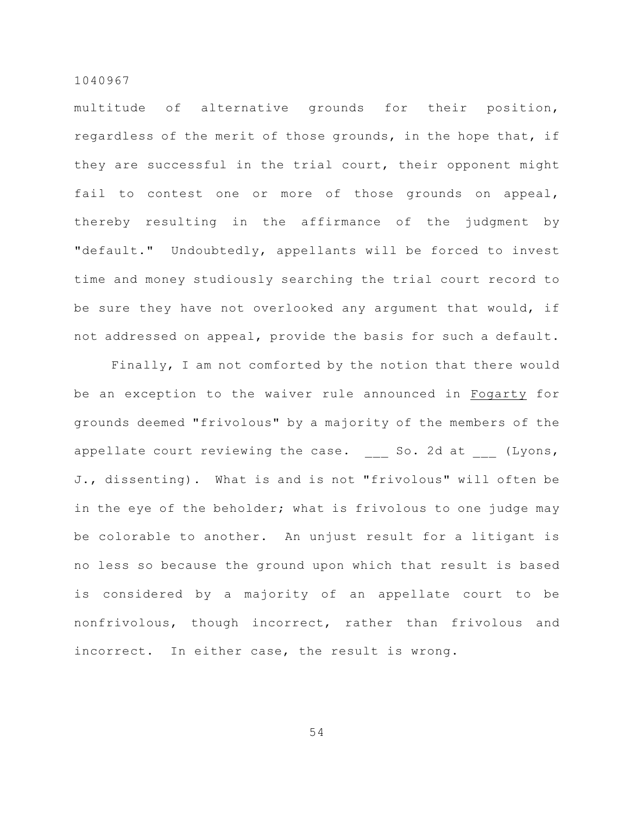multitude of alternative grounds for their position, regardless of the merit of those grounds, in the hope that, if they are successful in the trial court, their opponent might fail to contest one or more of those grounds on appeal, thereby resulting in the affirmance of the judgment by "default." Undoubtedly, appellants will be forced to invest time and money studiously searching the trial court record to be sure they have not overlooked any argument that would, if not addressed on appeal, provide the basis for such a default.

Finally, I am not comforted by the notion that there would be an exception to the waiver rule announced in Fogarty for grounds deemed "frivolous" by a majority of the members of the appellate court reviewing the case. So. 2d at (Lyons, J., dissenting). What is and is not "frivolous" will often be in the eye of the beholder; what is frivolous to one judge may be colorable to another. An unjust result for a litigant is no less so because the ground upon which that result is based is considered by a majority of an appellate court to be nonfrivolous, though incorrect, rather than frivolous and incorrect. In either case, the result is wrong.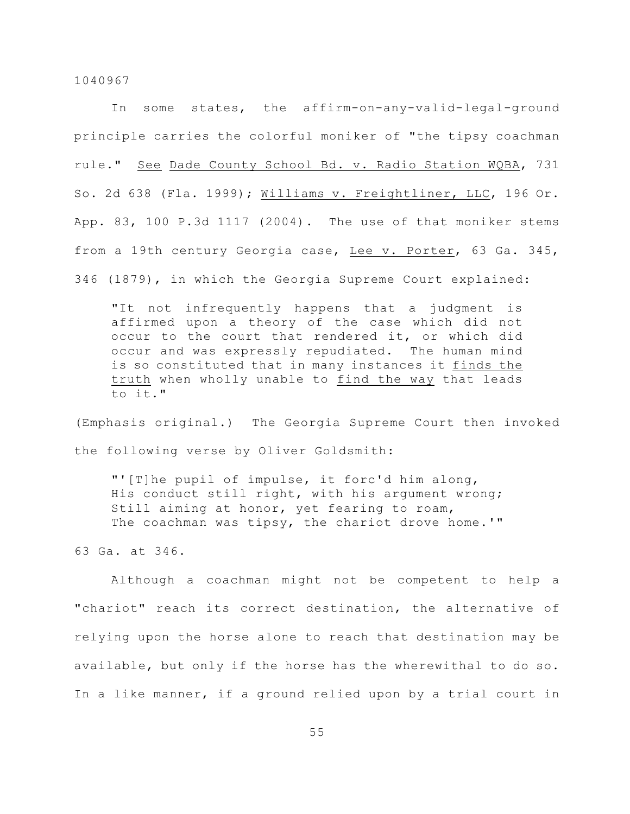In some states, the affirm-on-any-valid-legal-ground principle carries the colorful moniker of "the tipsy coachman rule." See Dade County School Bd. v. Radio Station WQBA, 731 So. 2d 638 (Fla. 1999); Williams v. Freightliner, LLC, 196 Or. App. 83, 100 P.3d 1117 (2004). The use of that moniker stems from a 19th century Georgia case, Lee v. Porter, 63 Ga. 345, 346 (1879), in which the Georgia Supreme Court explained:

"It not infrequently happens that a judgment is affirmed upon a theory of the case which did not occur to the court that rendered it, or which did occur and was expressly repudiated. The human mind is so constituted that in many instances it finds the truth when wholly unable to find the way that leads to it."

(Emphasis original.) The Georgia Supreme Court then invoked the following verse by Oliver Goldsmith:

"'[T]he pupil of impulse, it forc'd him along, His conduct still right, with his argument wrong; Still aiming at honor, yet fearing to roam, The coachman was tipsy, the chariot drove home.'"

63 Ga. at 346.

Although a coachman might not be competent to help a "chariot" reach its correct destination, the alternative of relying upon the horse alone to reach that destination may be available, but only if the horse has the wherewithal to do so. In a like manner, if a ground relied upon by a trial court in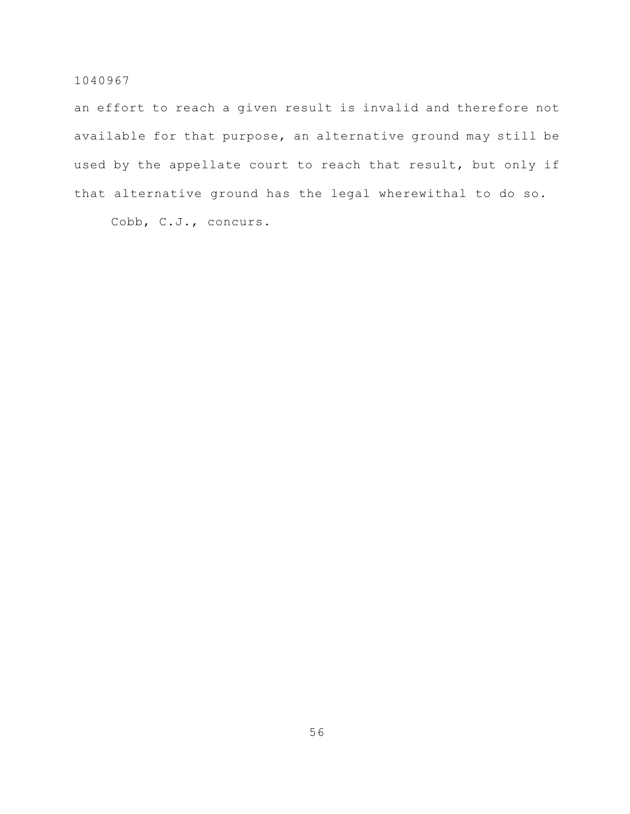an effort to reach a given result is invalid and therefore not available for that purpose, an alternative ground may still be used by the appellate court to reach that result, but only if that alternative ground has the legal wherewithal to do so.

Cobb, C.J., concurs.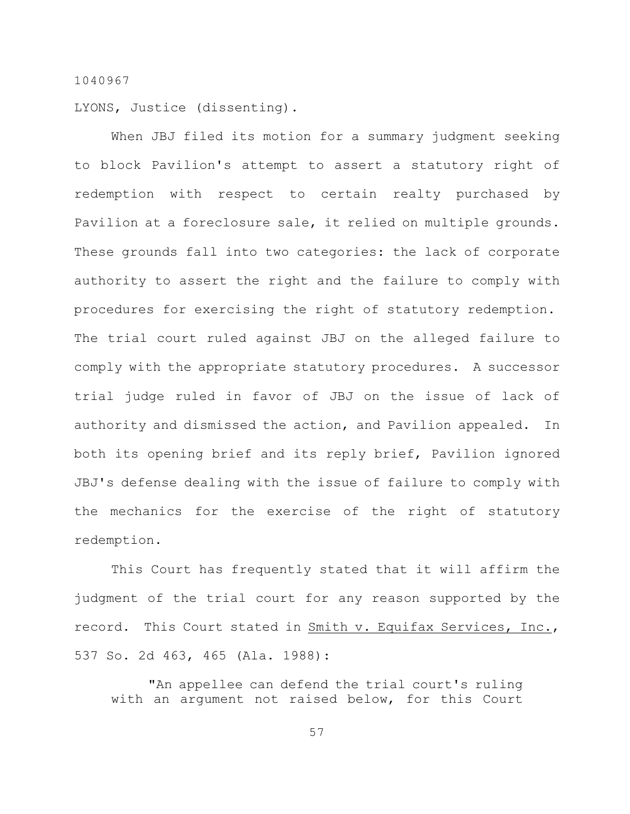LYONS, Justice (dissenting).

When JBJ filed its motion for a summary judgment seeking to block Pavilion's attempt to assert a statutory right of redemption with respect to certain realty purchased by Pavilion at a foreclosure sale, it relied on multiple grounds. These grounds fall into two categories: the lack of corporate authority to assert the right and the failure to comply with procedures for exercising the right of statutory redemption. The trial court ruled against JBJ on the alleged failure to comply with the appropriate statutory procedures. A successor trial judge ruled in favor of JBJ on the issue of lack of authority and dismissed the action, and Pavilion appealed. In both its opening brief and its reply brief, Pavilion ignored JBJ's defense dealing with the issue of failure to comply with the mechanics for the exercise of the right of statutory redemption.

This Court has frequently stated that it will affirm the judgment of the trial court for any reason supported by the record. This Court stated in Smith v. Equifax Services, Inc., 537 So. 2d 463, 465 (Ala. 1988):

"An appellee can defend the trial court's ruling with an argument not raised below, for this Court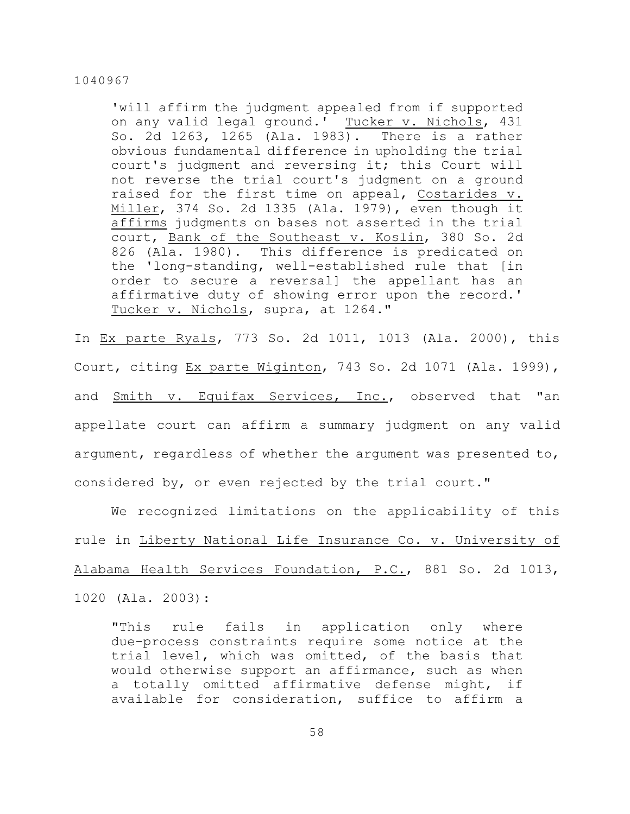'will affirm the judgment appealed from if supported on any valid legal ground.' Tucker v. Nichols, 431 So. 2d 1263, 1265 (Ala. 1983). There is a rather obvious fundamental difference in upholding the trial court's judgment and reversing it; this Court will not reverse the trial court's judgment on a ground raised for the first time on appeal, Costarides v. Miller, 374 So. 2d 1335 (Ala. 1979), even though it affirms judgments on bases not asserted in the trial court, Bank of the Southeast v. Koslin, 380 So. 2d 826 (Ala. 1980). This difference is predicated on the 'long-standing, well-established rule that [in order to secure a reversal] the appellant has an affirmative duty of showing error upon the record.' Tucker v. Nichols, supra, at 1264."

In Ex parte Ryals, 773 So. 2d 1011, 1013 (Ala. 2000), this Court, citing Ex parte Wiginton, 743 So. 2d 1071 (Ala. 1999), and Smith v. Equifax Services, Inc., observed that "an appellate court can affirm a summary judgment on any valid argument, regardless of whether the argument was presented to, considered by, or even rejected by the trial court."

We recognized limitations on the applicability of this rule in Liberty National Life Insurance Co. v. University of Alabama Health Services Foundation, P.C., 881 So. 2d 1013, 1020 (Ala. 2003):

"This rule fails in application only where due-process constraints require some notice at the trial level, which was omitted, of the basis that would otherwise support an affirmance, such as when a totally omitted affirmative defense might, if available for consideration, suffice to affirm a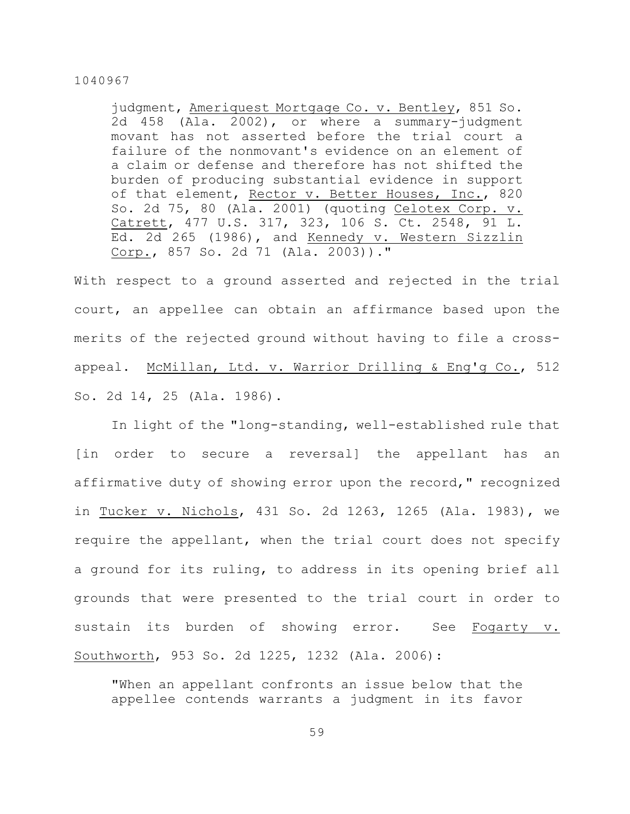judgment, Ameriquest Mortgage Co. v. Bentley, 851 So. 2d 458 (Ala. 2002), or where a summary-judgment movant has not asserted before the trial court a failure of the nonmovant's evidence on an element of a claim or defense and therefore has not shifted the burden of producing substantial evidence in support of that element, Rector v. Better Houses, Inc., 820 So. 2d 75, 80 (Ala. 2001) (quoting Celotex Corp. v. Catrett, 477 U.S. 317, 323, 106 S. Ct. 2548, 91 L. Ed. 2d 265 (1986), and Kennedy v. Western Sizzlin Corp., 857 So. 2d 71 (Ala. 2003))."

With respect to a ground asserted and rejected in the trial court, an appellee can obtain an affirmance based upon the merits of the rejected ground without having to file a crossappeal. McMillan, Ltd. v. Warrior Drilling & Eng'g Co., 512 So. 2d 14, 25 (Ala. 1986).

In light of the "long-standing, well-established rule that [in order to secure a reversal] the appellant has an affirmative duty of showing error upon the record," recognized in Tucker v. Nichols, 431 So. 2d 1263, 1265 (Ala. 1983), we require the appellant, when the trial court does not specify a ground for its ruling, to address in its opening brief all grounds that were presented to the trial court in order to sustain its burden of showing error. See Fogarty v. Southworth, 953 So. 2d 1225, 1232 (Ala. 2006):

"When an appellant confronts an issue below that the appellee contends warrants a judgment in its favor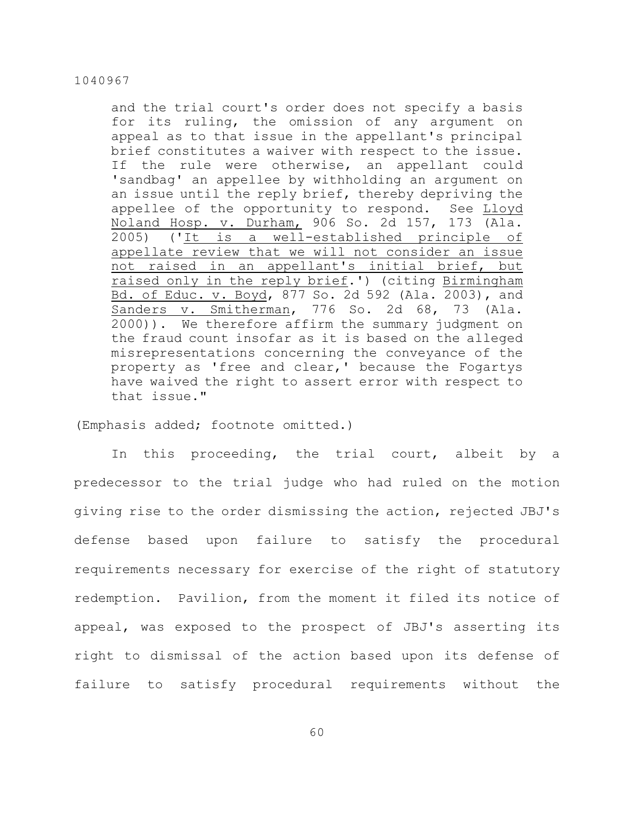and the trial court's order does not specify a basis for its ruling, the omission of any argument on appeal as to that issue in the appellant's principal brief constitutes a waiver with respect to the issue. If the rule were otherwise, an appellant could 'sandbag' an appellee by withholding an argument on an issue until the reply brief, thereby depriving the appellee of the opportunity to respond. See Lloyd Noland Hosp. v. Durham, 906 So. 2d 157, 173 (Ala. 2005) ('It is a well-established principle of appellate review that we will not consider an issue not raised in an appellant's initial brief, but raised only in the reply brief.') (citing Birmingham Bd. of Educ. v. Boyd, 877 So. 2d 592 (Ala. 2003), and Sanders v. Smitherman, 776 So. 2d 68, 73 (Ala. 2000)). We therefore affirm the summary judgment on the fraud count insofar as it is based on the alleged misrepresentations concerning the conveyance of the property as 'free and clear,' because the Fogartys have waived the right to assert error with respect to that issue."

(Emphasis added; footnote omitted.)

In this proceeding, the trial court, albeit by a predecessor to the trial judge who had ruled on the motion giving rise to the order dismissing the action, rejected JBJ's defense based upon failure to satisfy the procedural requirements necessary for exercise of the right of statutory redemption. Pavilion, from the moment it filed its notice of appeal, was exposed to the prospect of JBJ's asserting its right to dismissal of the action based upon its defense of failure to satisfy procedural requirements without the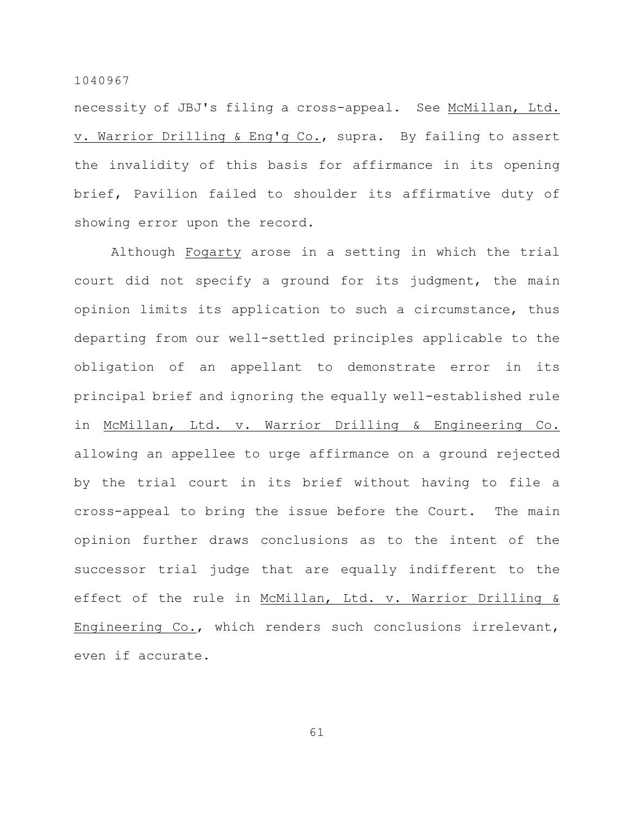necessity of JBJ's filing a cross-appeal. See McMillan, Ltd. v. Warrior Drilling & Eng'g Co., supra. By failing to assert the invalidity of this basis for affirmance in its opening brief, Pavilion failed to shoulder its affirmative duty of showing error upon the record.

Although Fogarty arose in a setting in which the trial court did not specify a ground for its judgment, the main opinion limits its application to such a circumstance, thus departing from our well-settled principles applicable to the obligation of an appellant to demonstrate error in its principal brief and ignoring the equally well-established rule in McMillan, Ltd. v. Warrior Drilling & Engineering Co. allowing an appellee to urge affirmance on a ground rejected by the trial court in its brief without having to file a cross-appeal to bring the issue before the Court. The main opinion further draws conclusions as to the intent of the successor trial judge that are equally indifferent to the effect of the rule in McMillan, Ltd. v. Warrior Drilling & Engineering Co., which renders such conclusions irrelevant, even if accurate.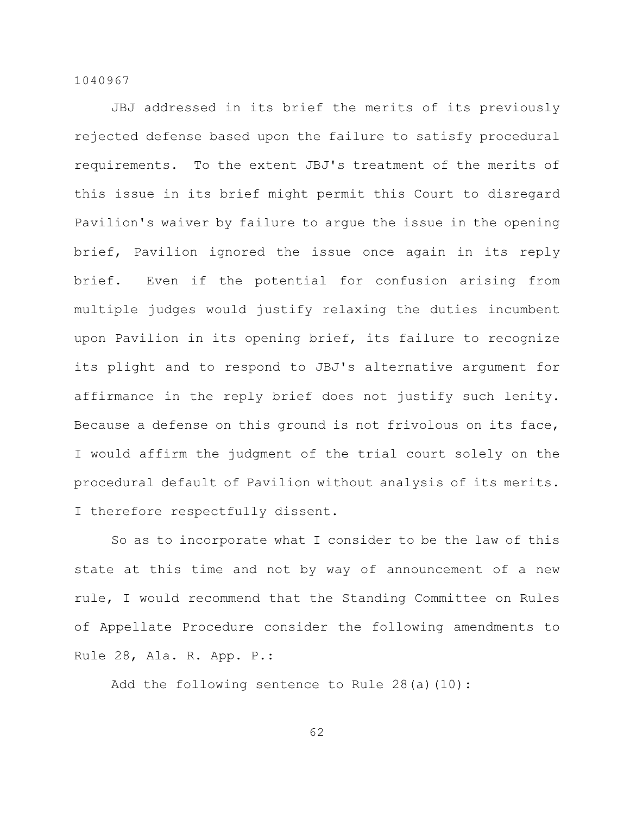JBJ addressed in its brief the merits of its previously rejected defense based upon the failure to satisfy procedural requirements. To the extent JBJ's treatment of the merits of this issue in its brief might permit this Court to disregard Pavilion's waiver by failure to argue the issue in the opening brief, Pavilion ignored the issue once again in its reply brief. Even if the potential for confusion arising from multiple judges would justify relaxing the duties incumbent upon Pavilion in its opening brief, its failure to recognize its plight and to respond to JBJ's alternative argument for affirmance in the reply brief does not justify such lenity. Because a defense on this ground is not frivolous on its face, I would affirm the judgment of the trial court solely on the procedural default of Pavilion without analysis of its merits. I therefore respectfully dissent.

So as to incorporate what I consider to be the law of this state at this time and not by way of announcement of a new rule, I would recommend that the Standing Committee on Rules of Appellate Procedure consider the following amendments to Rule 28, Ala. R. App. P.:

Add the following sentence to Rule 28(a)(10):